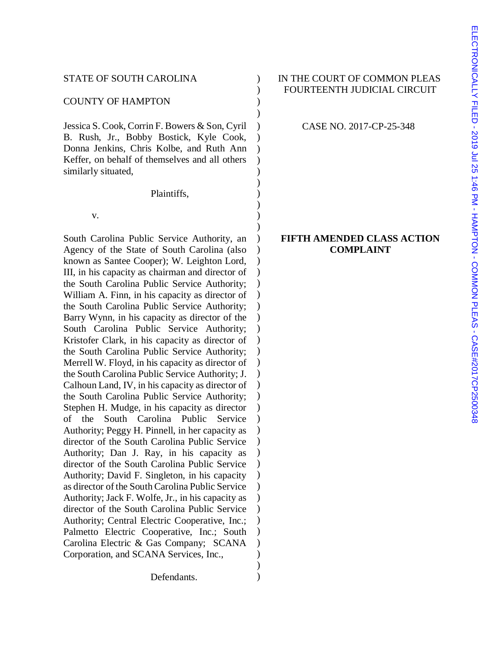#### COUNTY OF HAMPTON (2002)

Jessica S. Cook, Corrin F. Bowers & Son, Cyril B. Rush, Jr., Bobby Bostick, Kyle Cook, Donna Jenkins, Chris Kolbe, and Ruth Ann Keffer, on behalf of themselves and all others similarly situated,

Plaintiffs,

 $\mathbf{v}$ .

South Carolina Public Service Authority, an Agency of the State of South Carolina (also known as Santee Cooper); W. Leighton Lord, III, in his capacity as chairman and director of the South Carolina Public Service Authority; William A. Finn, in his capacity as director of the South Carolina Public Service Authority; Barry Wynn, in his capacity as director of the South Carolina Public Service Authority; Kristofer Clark, in his capacity as director of the South Carolina Public Service Authority; Merrell W. Floyd, in his capacity as director of the South Carolina Public Service Authority; J. Calhoun Land, IV, in his capacity as director of the South Carolina Public Service Authority; Stephen H. Mudge, in his capacity as director of the South Carolina Public Service Authority; Peggy H. Pinnell, in her capacity as director of the South Carolina Public Service Authority; Dan J. Ray, in his capacity as director of the South Carolina Public Service Authority; David F. Singleton, in his capacity as director of the South Carolina Public Service Authority; Jack F. Wolfe, Jr., in his capacity as director of the South Carolina Public Service Authority; Central Electric Cooperative, Inc.; Palmetto Electric Cooperative, Inc.; South Carolina Electric & Gas Company; SCANA Corporation, and SCANA Services, Inc.,

Defendants.

# STATE OF SOUTH CAROLINA ) IN THE COURT OF COMMON PLEAS ) FOURTEENTH JUDICIAL CIRCUIT

CASE NO. 2017-CP-25-348

)

) ) ) ) ) ) ) )

)

) ) ) ) ) ) ) ) ) ) ) ) ) ) ) ) ) ) ) ) ) ) ) ) ) ) ) ) ) ) )

# **FIFTH AMENDED CLASS ACTION COMPLAINT**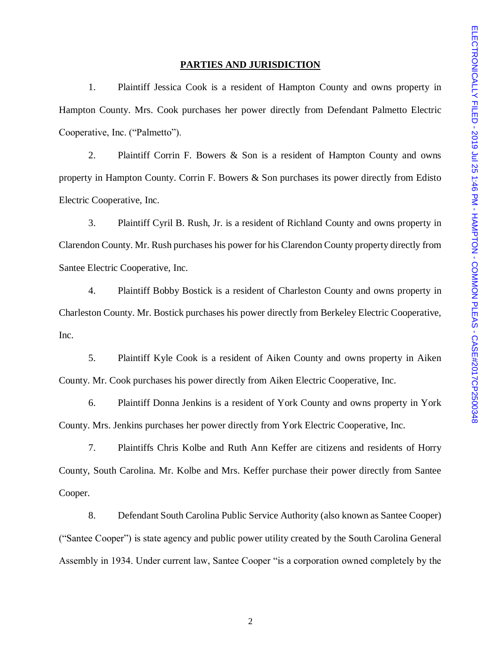#### **PARTIES AND JURISDICTION**

1. Plaintiff Jessica Cook is a resident of Hampton County and owns property in Hampton County. Mrs. Cook purchases her power directly from Defendant Palmetto Electric Cooperative, Inc. ("Palmetto").

2. Plaintiff Corrin F. Bowers & Son is a resident of Hampton County and owns property in Hampton County. Corrin F. Bowers & Son purchases its power directly from Edisto Electric Cooperative, Inc.

3. Plaintiff Cyril B. Rush, Jr. is a resident of Richland County and owns property in Clarendon County. Mr. Rush purchases his power for his Clarendon County property directly from Santee Electric Cooperative, Inc.

4. Plaintiff Bobby Bostick is a resident of Charleston County and owns property in Charleston County. Mr. Bostick purchases his power directly from Berkeley Electric Cooperative, Inc.

5. Plaintiff Kyle Cook is a resident of Aiken County and owns property in Aiken County. Mr. Cook purchases his power directly from Aiken Electric Cooperative, Inc.

6. Plaintiff Donna Jenkins is a resident of York County and owns property in York County. Mrs. Jenkins purchases her power directly from York Electric Cooperative, Inc.

7. Plaintiffs Chris Kolbe and Ruth Ann Keffer are citizens and residents of Horry County, South Carolina. Mr. Kolbe and Mrs. Keffer purchase their power directly from Santee Cooper.

8. Defendant South Carolina Public Service Authority (also known as Santee Cooper) ("Santee Cooper") is state agency and public power utility created by the South Carolina General Assembly in 1934. Under current law, Santee Cooper "is a corporation owned completely by the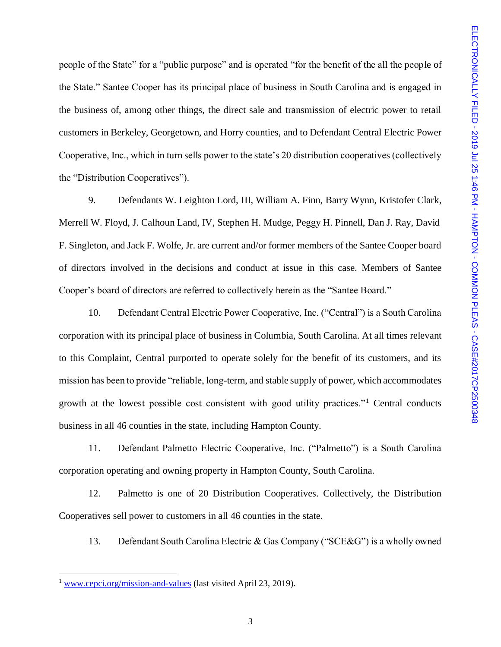people of the State" for a "public purpose" and is operated "for the benefit of the all the people of the State." Santee Cooper has its principal place of business in South Carolina and is engaged in the business of, among other things, the direct sale and transmission of electric power to retail customers in Berkeley, Georgetown, and Horry counties, and to Defendant Central Electric Power Cooperative, Inc., which in turn sells power to the state's 20 distribution cooperatives (collectively the "Distribution Cooperatives").

9. Defendants W. Leighton Lord, III, William A. Finn, Barry Wynn, Kristofer Clark, Merrell W. Floyd, J. Calhoun Land, IV, Stephen H. Mudge, Peggy H. Pinnell, Dan J. Ray, David F. Singleton, and Jack F. Wolfe, Jr. are current and/or former members of the Santee Cooper board of directors involved in the decisions and conduct at issue in this case. Members of Santee Cooper's board of directors are referred to collectively herein as the "Santee Board."

10. Defendant Central Electric Power Cooperative, Inc. ("Central") is a South Carolina corporation with its principal place of business in Columbia, South Carolina. At all times relevant to this Complaint, Central purported to operate solely for the benefit of its customers, and its mission has been to provide "reliable, long-term, and stable supply of power, which accommodates growth at the lowest possible cost consistent with good utility practices."<sup>1</sup> Central conducts business in all 46 counties in the state, including Hampton County.

11. Defendant Palmetto Electric Cooperative, Inc. ("Palmetto") is a South Carolina corporation operating and owning property in Hampton County, South Carolina.

12. Palmetto is one of 20 Distribution Cooperatives. Collectively, the Distribution Cooperatives sell power to customers in all 46 counties in the state.

13. Defendant South Carolina Electric & Gas Company ("SCE&G") is a wholly owned

l

 $1$  [www.cepci.org/mission-and-values](http://www.cepci.org/mission-and-values) (last visited April 23, 2019).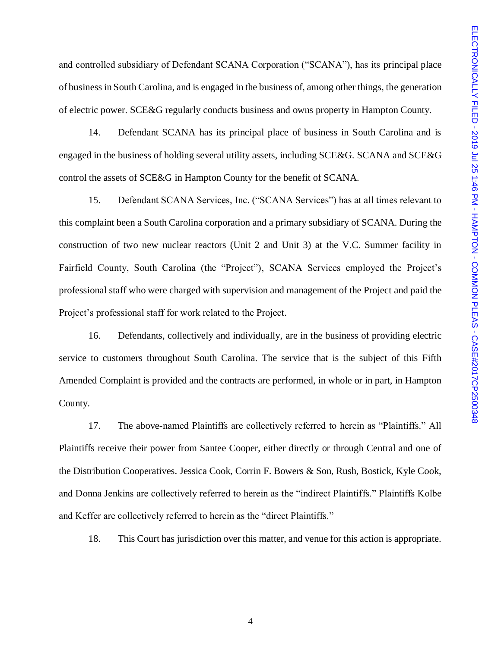and controlled subsidiary of Defendant SCANA Corporation ("SCANA"), has its principal place of business in South Carolina, and is engaged in the business of, among other things, the generation of electric power. SCE&G regularly conducts business and owns property in Hampton County.

14. Defendant SCANA has its principal place of business in South Carolina and is engaged in the business of holding several utility assets, including SCE&G. SCANA and SCE&G control the assets of SCE&G in Hampton County for the benefit of SCANA.

15. Defendant SCANA Services, Inc. ("SCANA Services") has at all times relevant to this complaint been a South Carolina corporation and a primary subsidiary of SCANA. During the construction of two new nuclear reactors (Unit 2 and Unit 3) at the V.C. Summer facility in Fairfield County, South Carolina (the "Project"), SCANA Services employed the Project's professional staff who were charged with supervision and management of the Project and paid the Project's professional staff for work related to the Project.

16. Defendants, collectively and individually, are in the business of providing electric service to customers throughout South Carolina. The service that is the subject of this Fifth Amended Complaint is provided and the contracts are performed, in whole or in part, in Hampton County.

17. The above-named Plaintiffs are collectively referred to herein as "Plaintiffs." All Plaintiffs receive their power from Santee Cooper, either directly or through Central and one of the Distribution Cooperatives. Jessica Cook, Corrin F. Bowers & Son, Rush, Bostick, Kyle Cook, and Donna Jenkins are collectively referred to herein as the "indirect Plaintiffs." Plaintiffs Kolbe and Keffer are collectively referred to herein as the "direct Plaintiffs."

18. This Court has jurisdiction over this matter, and venue for this action is appropriate.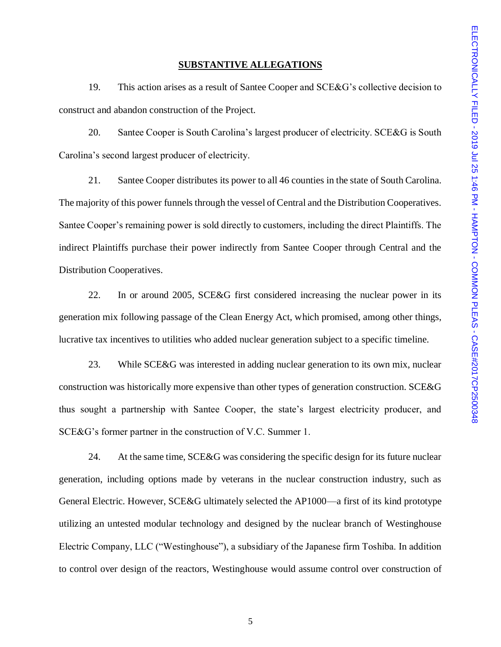#### **SUBSTANTIVE ALLEGATIONS**

19. This action arises as a result of Santee Cooper and SCE&G's collective decision to construct and abandon construction of the Project.

20. Santee Cooper is South Carolina's largest producer of electricity. SCE&G is South Carolina's second largest producer of electricity.

21. Santee Cooper distributes its power to all 46 counties in the state of South Carolina. The majority of this power funnels through the vessel of Central and the Distribution Cooperatives. Santee Cooper's remaining power is sold directly to customers, including the direct Plaintiffs. The indirect Plaintiffs purchase their power indirectly from Santee Cooper through Central and the Distribution Cooperatives.

22. In or around 2005, SCE&G first considered increasing the nuclear power in its generation mix following passage of the Clean Energy Act, which promised, among other things, lucrative tax incentives to utilities who added nuclear generation subject to a specific timeline.

23. While SCE&G was interested in adding nuclear generation to its own mix, nuclear construction was historically more expensive than other types of generation construction. SCE&G thus sought a partnership with Santee Cooper, the state's largest electricity producer, and SCE&G's former partner in the construction of V.C. Summer 1.

24. At the same time, SCE&G was considering the specific design for its future nuclear generation, including options made by veterans in the nuclear construction industry, such as General Electric. However, SCE&G ultimately selected the AP1000—a first of its kind prototype utilizing an untested modular technology and designed by the nuclear branch of Westinghouse Electric Company, LLC ("Westinghouse"), a subsidiary of the Japanese firm Toshiba. In addition to control over design of the reactors, Westinghouse would assume control over construction of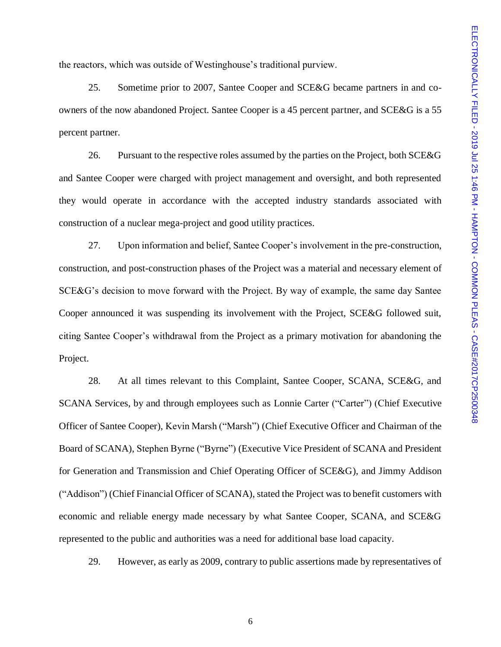the reactors, which was outside of Westinghouse's traditional purview.

25. Sometime prior to 2007, Santee Cooper and SCE&G became partners in and coowners of the now abandoned Project. Santee Cooper is a 45 percent partner, and SCE&G is a 55 percent partner.

26. Pursuant to the respective roles assumed by the parties on the Project, both SCE&G and Santee Cooper were charged with project management and oversight, and both represented they would operate in accordance with the accepted industry standards associated with construction of a nuclear mega-project and good utility practices.

27. Upon information and belief, Santee Cooper's involvement in the pre-construction, construction, and post-construction phases of the Project was a material and necessary element of SCE&G's decision to move forward with the Project. By way of example, the same day Santee Cooper announced it was suspending its involvement with the Project, SCE&G followed suit, citing Santee Cooper's withdrawal from the Project as a primary motivation for abandoning the Project.

28. At all times relevant to this Complaint, Santee Cooper, SCANA, SCE&G, and SCANA Services, by and through employees such as Lonnie Carter ("Carter") (Chief Executive Officer of Santee Cooper), Kevin Marsh ("Marsh") (Chief Executive Officer and Chairman of the Board of SCANA), Stephen Byrne ("Byrne") (Executive Vice President of SCANA and President for Generation and Transmission and Chief Operating Officer of SCE&G), and Jimmy Addison ("Addison") (Chief Financial Officer of SCANA), stated the Project was to benefit customers with economic and reliable energy made necessary by what Santee Cooper, SCANA, and SCE&G represented to the public and authorities was a need for additional base load capacity.

29. However, as early as 2009, contrary to public assertions made by representatives of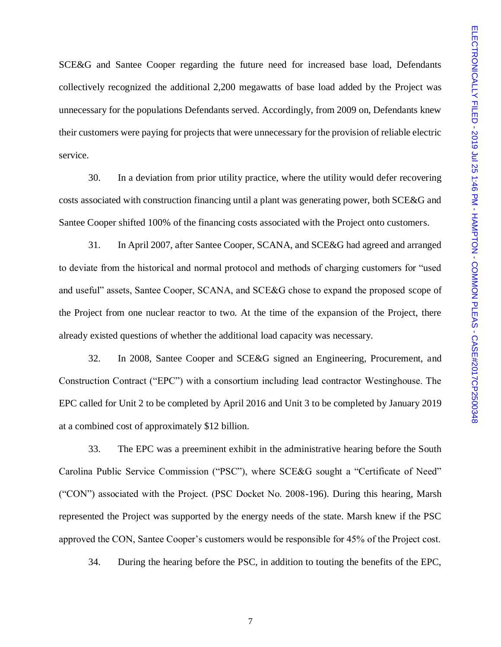SCE&G and Santee Cooper regarding the future need for increased base load, Defendants collectively recognized the additional 2,200 megawatts of base load added by the Project was unnecessary for the populations Defendants served. Accordingly, from 2009 on, Defendants knew their customers were paying for projects that were unnecessary for the provision of reliable electric service.

30. In a deviation from prior utility practice, where the utility would defer recovering costs associated with construction financing until a plant was generating power, both SCE&G and Santee Cooper shifted 100% of the financing costs associated with the Project onto customers.

31. In April 2007, after Santee Cooper, SCANA, and SCE&G had agreed and arranged to deviate from the historical and normal protocol and methods of charging customers for "used and useful" assets, Santee Cooper, SCANA, and SCE&G chose to expand the proposed scope of the Project from one nuclear reactor to two. At the time of the expansion of the Project, there already existed questions of whether the additional load capacity was necessary.

32. In 2008, Santee Cooper and SCE&G signed an Engineering, Procurement, and Construction Contract ("EPC") with a consortium including lead contractor Westinghouse. The EPC called for Unit 2 to be completed by April 2016 and Unit 3 to be completed by January 2019 at a combined cost of approximately \$12 billion.

33. The EPC was a preeminent exhibit in the administrative hearing before the South Carolina Public Service Commission ("PSC"), where SCE&G sought a "Certificate of Need" ("CON") associated with the Project. (PSC Docket No. 2008-196). During this hearing, Marsh represented the Project was supported by the energy needs of the state. Marsh knew if the PSC approved the CON, Santee Cooper's customers would be responsible for 45% of the Project cost.

34. During the hearing before the PSC, in addition to touting the benefits of the EPC,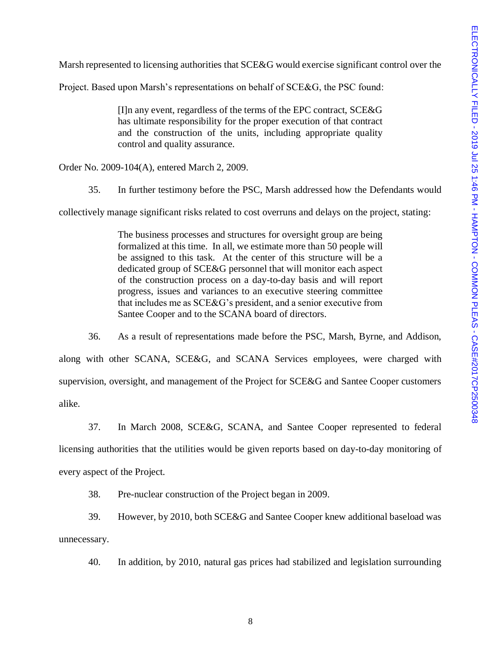Marsh represented to licensing authorities that SCE&G would exercise significant control over the

Project. Based upon Marsh's representations on behalf of SCE&G, the PSC found:

[I]n any event, regardless of the terms of the EPC contract, SCE&G has ultimate responsibility for the proper execution of that contract and the construction of the units, including appropriate quality control and quality assurance.

Order No. 2009-104(A), entered March 2, 2009.

35. In further testimony before the PSC, Marsh addressed how the Defendants would

collectively manage significant risks related to cost overruns and delays on the project, stating:

The business processes and structures for oversight group are being formalized at this time. In all, we estimate more than 50 people will be assigned to this task. At the center of this structure will be a dedicated group of SCE&G personnel that will monitor each aspect of the construction process on a day-to-day basis and will report progress, issues and variances to an executive steering committee that includes me as SCE&G's president, and a senior executive from Santee Cooper and to the SCANA board of directors.

36. As a result of representations made before the PSC, Marsh, Byrne, and Addison, along with other SCANA, SCE&G, and SCANA Services employees, were charged with supervision, oversight, and management of the Project for SCE&G and Santee Cooper customers alike.

37. In March 2008, SCE&G, SCANA, and Santee Cooper represented to federal licensing authorities that the utilities would be given reports based on day-to-day monitoring of every aspect of the Project.

38. Pre-nuclear construction of the Project began in 2009.

39. However, by 2010, both SCE&G and Santee Cooper knew additional baseload was unnecessary.

40. In addition, by 2010, natural gas prices had stabilized and legislation surrounding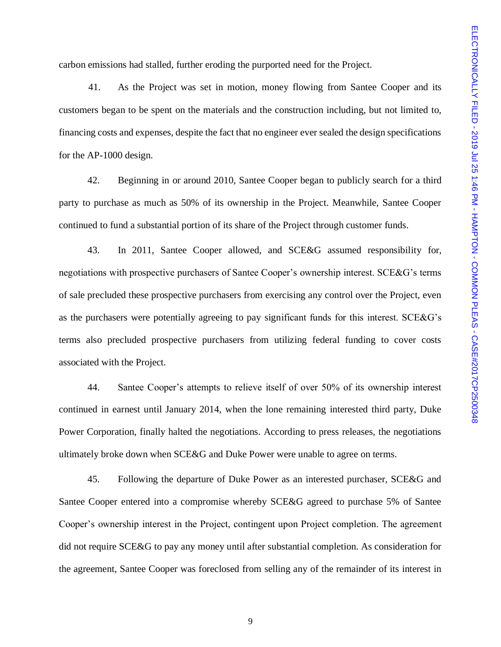carbon emissions had stalled, further eroding the purported need for the Project.

41. As the Project was set in motion, money flowing from Santee Cooper and its customers began to be spent on the materials and the construction including, but not limited to, financing costs and expenses, despite the fact that no engineer ever sealed the design specifications for the AP-1000 design.

42. Beginning in or around 2010, Santee Cooper began to publicly search for a third party to purchase as much as 50% of its ownership in the Project. Meanwhile, Santee Cooper continued to fund a substantial portion of its share of the Project through customer funds.

43. In 2011, Santee Cooper allowed, and SCE&G assumed responsibility for, negotiations with prospective purchasers of Santee Cooper's ownership interest. SCE&G's terms of sale precluded these prospective purchasers from exercising any control over the Project, even as the purchasers were potentially agreeing to pay significant funds for this interest. SCE&G's terms also precluded prospective purchasers from utilizing federal funding to cover costs associated with the Project.

44. Santee Cooper's attempts to relieve itself of over 50% of its ownership interest continued in earnest until January 2014, when the lone remaining interested third party, Duke Power Corporation, finally halted the negotiations. According to press releases, the negotiations ultimately broke down when SCE&G and Duke Power were unable to agree on terms.

45. Following the departure of Duke Power as an interested purchaser, SCE&G and Santee Cooper entered into a compromise whereby SCE&G agreed to purchase 5% of Santee Cooper's ownership interest in the Project, contingent upon Project completion. The agreement did not require SCE&G to pay any money until after substantial completion. As consideration for the agreement, Santee Cooper was foreclosed from selling any of the remainder of its interest in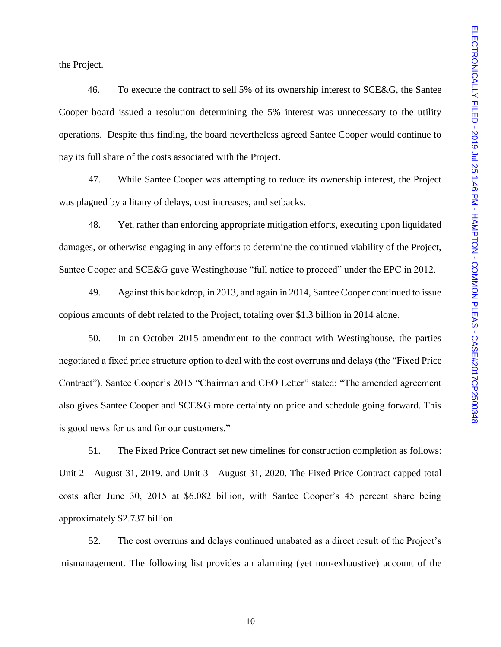the Project.

46. To execute the contract to sell 5% of its ownership interest to SCE&G, the Santee Cooper board issued a resolution determining the 5% interest was unnecessary to the utility operations. Despite this finding, the board nevertheless agreed Santee Cooper would continue to pay its full share of the costs associated with the Project.

47. While Santee Cooper was attempting to reduce its ownership interest, the Project was plagued by a litany of delays, cost increases, and setbacks.

48. Yet, rather than enforcing appropriate mitigation efforts, executing upon liquidated damages, or otherwise engaging in any efforts to determine the continued viability of the Project, Santee Cooper and SCE&G gave Westinghouse "full notice to proceed" under the EPC in 2012.

49. Against this backdrop, in 2013, and again in 2014, Santee Cooper continued to issue copious amounts of debt related to the Project, totaling over \$1.3 billion in 2014 alone.

50. In an October 2015 amendment to the contract with Westinghouse, the parties negotiated a fixed price structure option to deal with the cost overruns and delays (the "Fixed Price Contract"). Santee Cooper's 2015 "Chairman and CEO Letter" stated: "The amended agreement also gives Santee Cooper and SCE&G more certainty on price and schedule going forward. This is good news for us and for our customers."

51. The Fixed Price Contract set new timelines for construction completion as follows: Unit 2—August 31, 2019, and Unit 3—August 31, 2020. The Fixed Price Contract capped total costs after June 30, 2015 at \$6.082 billion, with Santee Cooper's 45 percent share being approximately \$2.737 billion.

52. The cost overruns and delays continued unabated as a direct result of the Project's mismanagement. The following list provides an alarming (yet non-exhaustive) account of the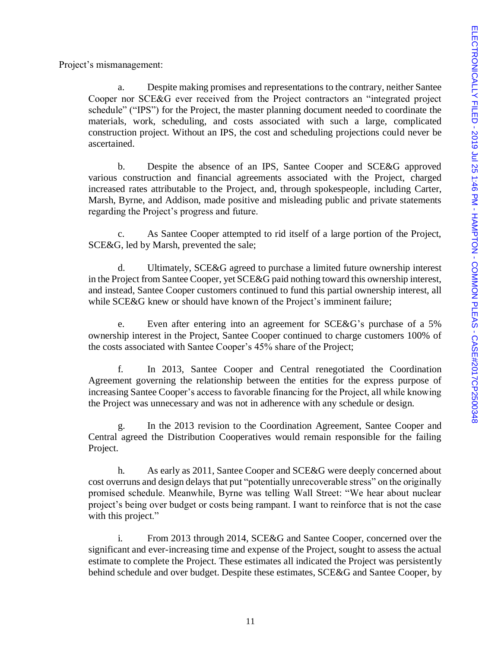Project's mismanagement:

a. Despite making promises and representations to the contrary, neither Santee Cooper nor SCE&G ever received from the Project contractors an "integrated project schedule" ("IPS") for the Project, the master planning document needed to coordinate the materials, work, scheduling, and costs associated with such a large, complicated construction project. Without an IPS, the cost and scheduling projections could never be ascertained.

b. Despite the absence of an IPS, Santee Cooper and SCE&G approved various construction and financial agreements associated with the Project, charged increased rates attributable to the Project, and, through spokespeople, including Carter, Marsh, Byrne, and Addison, made positive and misleading public and private statements regarding the Project's progress and future.

c. As Santee Cooper attempted to rid itself of a large portion of the Project, SCE&G, led by Marsh, prevented the sale;

d. Ultimately, SCE&G agreed to purchase a limited future ownership interest in the Project from Santee Cooper, yet SCE&G paid nothing toward this ownership interest, and instead, Santee Cooper customers continued to fund this partial ownership interest, all while SCE&G knew or should have known of the Project's imminent failure;

e. Even after entering into an agreement for SCE&G's purchase of a 5% ownership interest in the Project, Santee Cooper continued to charge customers 100% of the costs associated with Santee Cooper's 45% share of the Project;

f. In 2013, Santee Cooper and Central renegotiated the Coordination Agreement governing the relationship between the entities for the express purpose of increasing Santee Cooper's access to favorable financing for the Project, all while knowing the Project was unnecessary and was not in adherence with any schedule or design.

g. In the 2013 revision to the Coordination Agreement, Santee Cooper and Central agreed the Distribution Cooperatives would remain responsible for the failing Project.

h. As early as 2011, Santee Cooper and SCE&G were deeply concerned about cost overruns and design delays that put "potentially unrecoverable stress" on the originally promised schedule. Meanwhile, Byrne was telling Wall Street: "We hear about nuclear project's being over budget or costs being rampant. I want to reinforce that is not the case with this project."

i. From 2013 through 2014, SCE&G and Santee Cooper, concerned over the significant and ever-increasing time and expense of the Project, sought to assess the actual estimate to complete the Project. These estimates all indicated the Project was persistently behind schedule and over budget. Despite these estimates, SCE&G and Santee Cooper, by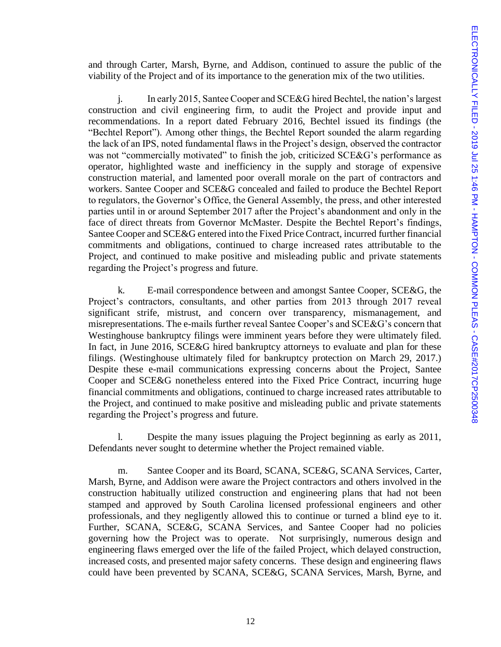and through Carter, Marsh, Byrne, and Addison, continued to assure the public of the viability of the Project and of its importance to the generation mix of the two utilities.

j. In early 2015, Santee Cooper and SCE&G hired Bechtel, the nation's largest construction and civil engineering firm, to audit the Project and provide input and recommendations. In a report dated February 2016, Bechtel issued its findings (the "Bechtel Report"). Among other things, the Bechtel Report sounded the alarm regarding the lack of an IPS, noted fundamental flaws in the Project's design, observed the contractor was not "commercially motivated" to finish the job, criticized SCE&G's performance as operator, highlighted waste and inefficiency in the supply and storage of expensive construction material, and lamented poor overall morale on the part of contractors and workers. Santee Cooper and SCE&G concealed and failed to produce the Bechtel Report to regulators, the Governor's Office, the General Assembly, the press, and other interested parties until in or around September 2017 after the Project's abandonment and only in the face of direct threats from Governor McMaster. Despite the Bechtel Report's findings, Santee Cooper and SCE&G entered into the Fixed Price Contract, incurred further financial commitments and obligations, continued to charge increased rates attributable to the Project, and continued to make positive and misleading public and private statements regarding the Project's progress and future.

k. E-mail correspondence between and amongst Santee Cooper, SCE&G, the Project's contractors, consultants, and other parties from 2013 through 2017 reveal significant strife, mistrust, and concern over transparency, mismanagement, and misrepresentations. The e-mails further reveal Santee Cooper's and SCE&G's concern that Westinghouse bankruptcy filings were imminent years before they were ultimately filed. In fact, in June 2016, SCE&G hired bankruptcy attorneys to evaluate and plan for these filings. (Westinghouse ultimately filed for bankruptcy protection on March 29, 2017.) Despite these e-mail communications expressing concerns about the Project, Santee Cooper and SCE&G nonetheless entered into the Fixed Price Contract, incurring huge financial commitments and obligations, continued to charge increased rates attributable to the Project, and continued to make positive and misleading public and private statements regarding the Project's progress and future.

l. Despite the many issues plaguing the Project beginning as early as 2011, Defendants never sought to determine whether the Project remained viable.

m. Santee Cooper and its Board, SCANA, SCE&G, SCANA Services, Carter, Marsh, Byrne, and Addison were aware the Project contractors and others involved in the construction habitually utilized construction and engineering plans that had not been stamped and approved by South Carolina licensed professional engineers and other professionals, and they negligently allowed this to continue or turned a blind eye to it. Further, SCANA, SCE&G, SCANA Services, and Santee Cooper had no policies governing how the Project was to operate. Not surprisingly, numerous design and engineering flaws emerged over the life of the failed Project, which delayed construction, increased costs, and presented major safety concerns. These design and engineering flaws could have been prevented by SCANA, SCE&G, SCANA Services, Marsh, Byrne, and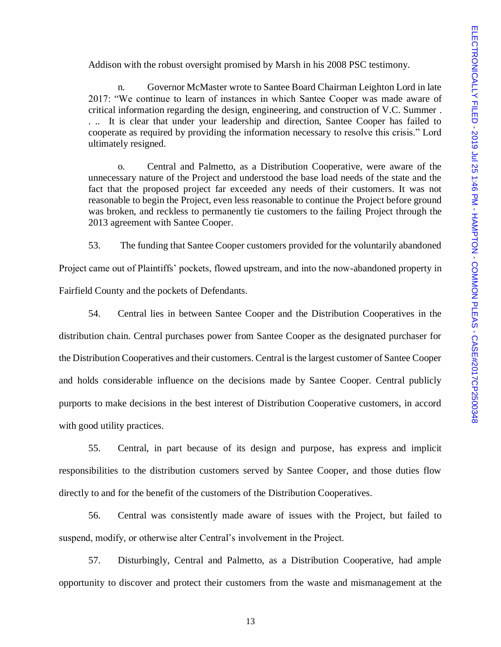Addison with the robust oversight promised by Marsh in his 2008 PSC testimony.

n. Governor McMaster wrote to Santee Board Chairman Leighton Lord in late 2017: "We continue to learn of instances in which Santee Cooper was made aware of critical information regarding the design, engineering, and construction of V.C. Summer . . .. It is clear that under your leadership and direction, Santee Cooper has failed to cooperate as required by providing the information necessary to resolve this crisis." Lord ultimately resigned.

o. Central and Palmetto, as a Distribution Cooperative, were aware of the unnecessary nature of the Project and understood the base load needs of the state and the fact that the proposed project far exceeded any needs of their customers. It was not reasonable to begin the Project, even less reasonable to continue the Project before ground was broken, and reckless to permanently tie customers to the failing Project through the 2013 agreement with Santee Cooper.

53. The funding that Santee Cooper customers provided for the voluntarily abandoned

Project came out of Plaintiffs' pockets, flowed upstream, and into the now-abandoned property in Fairfield County and the pockets of Defendants.

54. Central lies in between Santee Cooper and the Distribution Cooperatives in the distribution chain. Central purchases power from Santee Cooper as the designated purchaser for the Distribution Cooperatives and their customers. Central is the largest customer of Santee Cooper and holds considerable influence on the decisions made by Santee Cooper. Central publicly purports to make decisions in the best interest of Distribution Cooperative customers, in accord with good utility practices.

55. Central, in part because of its design and purpose, has express and implicit responsibilities to the distribution customers served by Santee Cooper, and those duties flow directly to and for the benefit of the customers of the Distribution Cooperatives.

56. Central was consistently made aware of issues with the Project, but failed to suspend, modify, or otherwise alter Central's involvement in the Project.

57. Disturbingly, Central and Palmetto, as a Distribution Cooperative, had ample opportunity to discover and protect their customers from the waste and mismanagement at the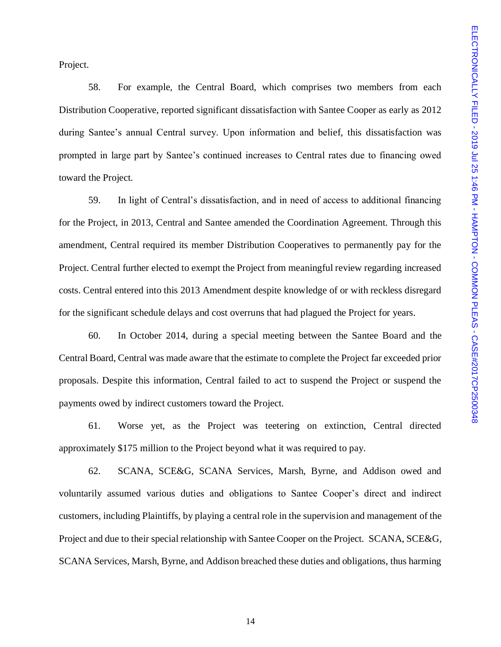Project.

58. For example, the Central Board, which comprises two members from each Distribution Cooperative, reported significant dissatisfaction with Santee Cooper as early as 2012 during Santee's annual Central survey. Upon information and belief, this dissatisfaction was prompted in large part by Santee's continued increases to Central rates due to financing owed toward the Project.

59. In light of Central's dissatisfaction, and in need of access to additional financing for the Project, in 2013, Central and Santee amended the Coordination Agreement. Through this amendment, Central required its member Distribution Cooperatives to permanently pay for the Project. Central further elected to exempt the Project from meaningful review regarding increased costs. Central entered into this 2013 Amendment despite knowledge of or with reckless disregard for the significant schedule delays and cost overruns that had plagued the Project for years.

60. In October 2014, during a special meeting between the Santee Board and the Central Board, Central was made aware that the estimate to complete the Project far exceeded prior proposals. Despite this information, Central failed to act to suspend the Project or suspend the payments owed by indirect customers toward the Project.

61. Worse yet, as the Project was teetering on extinction, Central directed approximately \$175 million to the Project beyond what it was required to pay.

62. SCANA, SCE&G, SCANA Services, Marsh, Byrne, and Addison owed and voluntarily assumed various duties and obligations to Santee Cooper's direct and indirect customers, including Plaintiffs, by playing a central role in the supervision and management of the Project and due to their special relationship with Santee Cooper on the Project. SCANA, SCE&G, SCANA Services, Marsh, Byrne, and Addison breached these duties and obligations, thus harming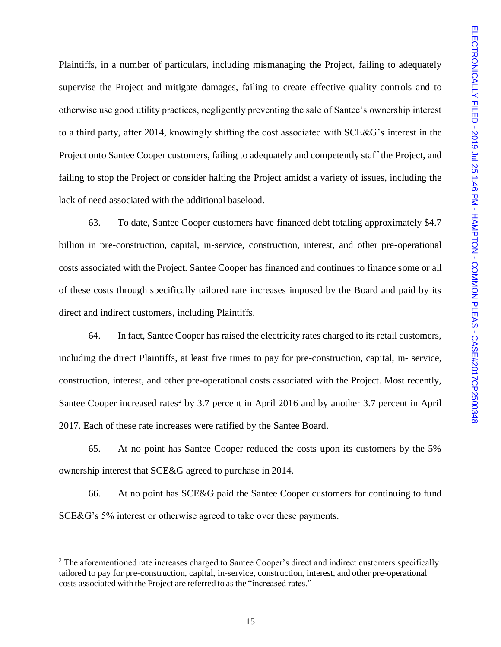Plaintiffs, in a number of particulars, including mismanaging the Project, failing to adequately supervise the Project and mitigate damages, failing to create effective quality controls and to otherwise use good utility practices, negligently preventing the sale of Santee's ownership interest to a third party, after 2014, knowingly shifting the cost associated with SCE&G's interest in the Project onto Santee Cooper customers, failing to adequately and competently staff the Project, and failing to stop the Project or consider halting the Project amidst a variety of issues, including the lack of need associated with the additional baseload.

63. To date, Santee Cooper customers have financed debt totaling approximately \$4.7 billion in pre-construction, capital, in-service, construction, interest, and other pre-operational costs associated with the Project. Santee Cooper has financed and continues to finance some or all of these costs through specifically tailored rate increases imposed by the Board and paid by its direct and indirect customers, including Plaintiffs.

64. In fact, Santee Cooper has raised the electricity rates charged to its retail customers, including the direct Plaintiffs, at least five times to pay for pre-construction, capital, in- service, construction, interest, and other pre-operational costs associated with the Project. Most recently, Santee Cooper increased rates<sup>2</sup> by 3.7 percent in April 2016 and by another 3.7 percent in April 2017. Each of these rate increases were ratified by the Santee Board.

65. At no point has Santee Cooper reduced the costs upon its customers by the 5% ownership interest that SCE&G agreed to purchase in 2014.

66. At no point has SCE&G paid the Santee Cooper customers for continuing to fund SCE&G's 5% interest or otherwise agreed to take over these payments.

l

<sup>&</sup>lt;sup>2</sup> The aforementioned rate increases charged to Santee Cooper's direct and indirect customers specifically tailored to pay for pre-construction, capital, in-service, construction, interest, and other pre-operational costs associated with the Project are referred to as the "increased rates."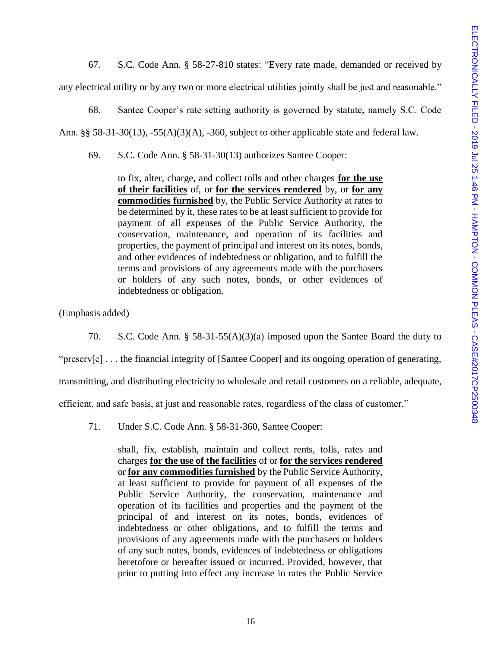67. S.C. Code Ann. § 58-27-810 states: "Every rate made, demanded or received by any electrical utility or by any two or more electrical utilities jointly shall be just and reasonable."

68. Santee Cooper's rate setting authority is governed by statute, namely S.C. Code Ann. §§ 58-31-30(13), -55(A)(3)(A), -360, subject to other applicable state and federal law.

69. S.C. Code Ann. § 58-31-30(13) authorizes Santee Cooper:

to fix, alter, charge, and collect tolls and other charges **for the use of their facilities** of, or **for the services rendered** by, or **for any commodities furnished** by, the Public Service Authority at rates to be determined by it, these rates to be at least sufficient to provide for payment of all expenses of the Public Service Authority, the conservation, maintenance, and operation of its facilities and properties, the payment of principal and interest on its notes, bonds, and other evidences of indebtedness or obligation, and to fulfill the terms and provisions of any agreements made with the purchasers or holders of any such notes, bonds, or other evidences of indebtedness or obligation.

(Emphasis added)

70. S.C. Code Ann. § 58-31-55(A)(3)(a) imposed upon the Santee Board the duty to

"preserv[e] . . . the financial integrity of [Santee Cooper] and its ongoing operation of generating,

transmitting, and distributing electricity to wholesale and retail customers on a reliable, adequate,

efficient, and safe basis, at just and reasonable rates, regardless of the class of customer."

71. Under S.C. Code Ann. § 58-31-360, Santee Cooper:

shall, fix, establish, maintain and collect rents, tolls, rates and charges **for the use of the facilities** of or **for the services rendered** or **for any commodities furnished** by the Public Service Authority, at least sufficient to provide for payment of all expenses of the Public Service Authority, the conservation, maintenance and operation of its facilities and properties and the payment of the principal of and interest on its notes, bonds, evidences of indebtedness or other obligations, and to fulfill the terms and provisions of any agreements made with the purchasers or holders of any such notes, bonds, evidences of indebtedness or obligations heretofore or hereafter issued or incurred. Provided, however, that prior to putting into effect any increase in rates the Public Service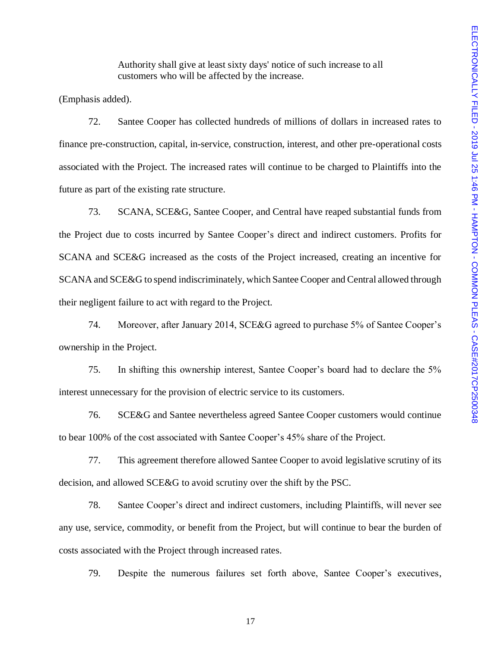Authority shall give at least sixty days' notice of such increase to all customers who will be affected by the increase.

(Emphasis added).

72. Santee Cooper has collected hundreds of millions of dollars in increased rates to finance pre-construction, capital, in-service, construction, interest, and other pre-operational costs associated with the Project. The increased rates will continue to be charged to Plaintiffs into the future as part of the existing rate structure.

73. SCANA, SCE&G, Santee Cooper, and Central have reaped substantial funds from the Project due to costs incurred by Santee Cooper's direct and indirect customers. Profits for SCANA and SCE&G increased as the costs of the Project increased, creating an incentive for SCANA and SCE&G to spend indiscriminately, which Santee Cooper and Central allowed through their negligent failure to act with regard to the Project.

74. Moreover, after January 2014, SCE&G agreed to purchase 5% of Santee Cooper's ownership in the Project.

75. In shifting this ownership interest, Santee Cooper's board had to declare the 5% interest unnecessary for the provision of electric service to its customers.

76. SCE&G and Santee nevertheless agreed Santee Cooper customers would continue to bear 100% of the cost associated with Santee Cooper's 45% share of the Project.

77. This agreement therefore allowed Santee Cooper to avoid legislative scrutiny of its decision, and allowed SCE&G to avoid scrutiny over the shift by the PSC.

78. Santee Cooper's direct and indirect customers, including Plaintiffs, will never see any use, service, commodity, or benefit from the Project, but will continue to bear the burden of costs associated with the Project through increased rates.

79. Despite the numerous failures set forth above, Santee Cooper's executives,

17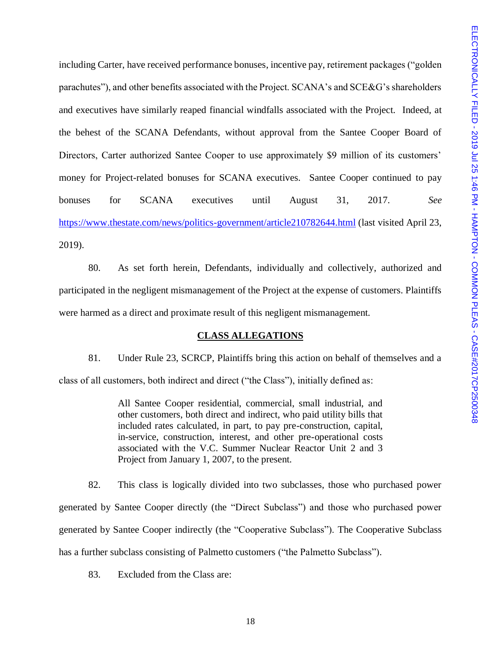including Carter, have received performance bonuses, incentive pay, retirement packages ("golden parachutes"), and other benefits associated with the Project. SCANA's and SCE&G's shareholders and executives have similarly reaped financial windfalls associated with the Project. Indeed, at the behest of the SCANA Defendants, without approval from the Santee Cooper Board of Directors, Carter authorized Santee Cooper to use approximately \$9 million of its customers' money for Project-related bonuses for SCANA executives. Santee Cooper continued to pay bonuses for SCANA executives until August 31, 2017. *See*  <https://www.thestate.com/news/politics-government/article210782644.html> (last visited April 23, 2019).

80. As set forth herein, Defendants, individually and collectively, authorized and participated in the negligent mismanagement of the Project at the expense of customers. Plaintiffs were harmed as a direct and proximate result of this negligent mismanagement.

#### **CLASS ALLEGATIONS**

81. Under Rule 23, SCRCP, Plaintiffs bring this action on behalf of themselves and a class of all customers, both indirect and direct ("the Class"), initially defined as:

> All Santee Cooper residential, commercial, small industrial, and other customers, both direct and indirect, who paid utility bills that included rates calculated, in part, to pay pre-construction, capital, in-service, construction, interest, and other pre-operational costs associated with the V.C. Summer Nuclear Reactor Unit 2 and 3 Project from January 1, 2007, to the present.

82. This class is logically divided into two subclasses, those who purchased power generated by Santee Cooper directly (the "Direct Subclass") and those who purchased power generated by Santee Cooper indirectly (the "Cooperative Subclass"). The Cooperative Subclass has a further subclass consisting of Palmetto customers ("the Palmetto Subclass").

83. Excluded from the Class are: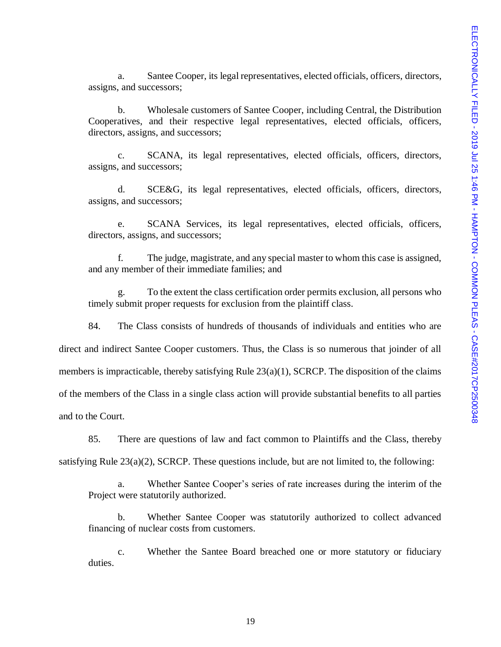a. Santee Cooper, its legal representatives, elected officials, officers, directors, assigns, and successors;

b. Wholesale customers of Santee Cooper, including Central, the Distribution Cooperatives, and their respective legal representatives, elected officials, officers, directors, assigns, and successors;

c. SCANA, its legal representatives, elected officials, officers, directors, assigns, and successors;

d. SCE&G, its legal representatives, elected officials, officers, directors, assigns, and successors;

e. SCANA Services, its legal representatives, elected officials, officers, directors, assigns, and successors;

f. The judge, magistrate, and any special master to whom this case is assigned, and any member of their immediate families; and

g. To the extent the class certification order permits exclusion, all persons who timely submit proper requests for exclusion from the plaintiff class.

84. The Class consists of hundreds of thousands of individuals and entities who are direct and indirect Santee Cooper customers. Thus, the Class is so numerous that joinder of all members is impracticable, thereby satisfying Rule 23(a)(1), SCRCP. The disposition of the claims of the members of the Class in a single class action will provide substantial benefits to all parties and to the Court.

85. There are questions of law and fact common to Plaintiffs and the Class, thereby

satisfying Rule  $23(a)(2)$ , SCRCP. These questions include, but are not limited to, the following:

a. Whether Santee Cooper's series of rate increases during the interim of the Project were statutorily authorized.

b. Whether Santee Cooper was statutorily authorized to collect advanced financing of nuclear costs from customers.

c. Whether the Santee Board breached one or more statutory or fiduciary duties.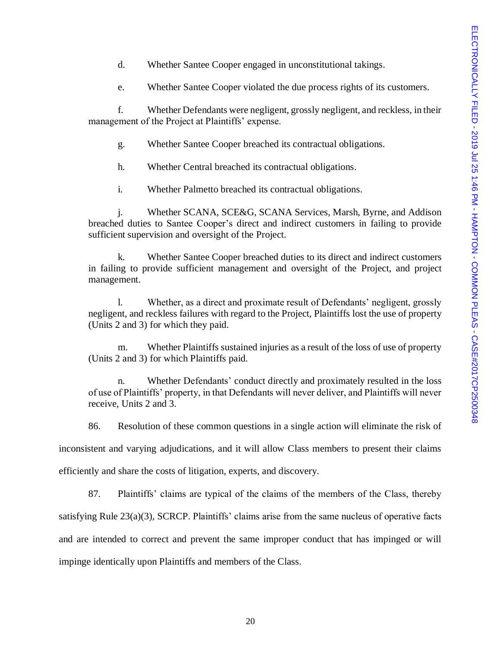- d. Whether Santee Cooper engaged in unconstitutional takings.
- e. Whether Santee Cooper violated the due process rights of its customers.

f. Whether Defendants were negligent, grossly negligent, and reckless, in their management of the Project at Plaintiffs' expense.

- g. Whether Santee Cooper breached its contractual obligations.
- h. Whether Central breached its contractual obligations.
- i. Whether Palmetto breached its contractual obligations.

j. Whether SCANA, SCE&G, SCANA Services, Marsh, Byrne, and Addison breached duties to Santee Cooper's direct and indirect customers in failing to provide sufficient supervision and oversight of the Project.

k. Whether Santee Cooper breached duties to its direct and indirect customers in failing to provide sufficient management and oversight of the Project, and project management.

l. Whether, as a direct and proximate result of Defendants' negligent, grossly negligent, and reckless failures with regard to the Project, Plaintiffs lost the use of property (Units 2 and 3) for which they paid.

m. Whether Plaintiffs sustained injuries as a result of the loss of use of property (Units 2 and 3) for which Plaintiffs paid.

n. Whether Defendants' conduct directly and proximately resulted in the loss of use of Plaintiffs' property, in that Defendants will never deliver, and Plaintiffs will never receive, Units 2 and 3.

86. Resolution of these common questions in a single action will eliminate the risk of

inconsistent and varying adjudications, and it will allow Class members to present their claims

efficiently and share the costs of litigation, experts, and discovery.

87. Plaintiffs' claims are typical of the claims of the members of the Class, thereby satisfying Rule 23(a)(3), SCRCP. Plaintiffs' claims arise from the same nucleus of operative facts and are intended to correct and prevent the same improper conduct that has impinged or will impinge identically upon Plaintiffs and members of the Class.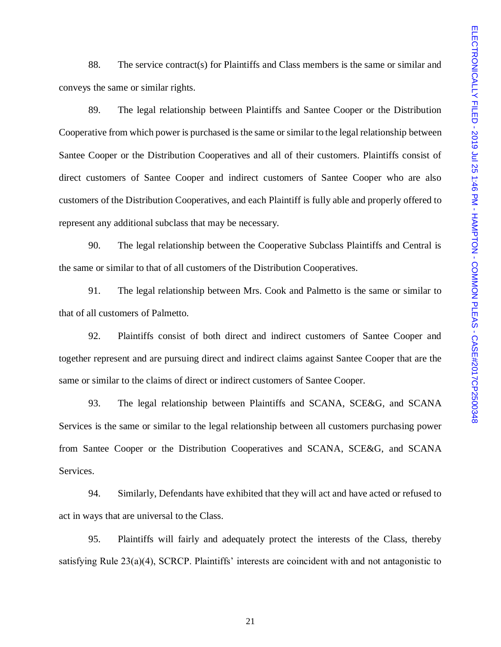88. The service contract(s) for Plaintiffs and Class members is the same or similar and conveys the same or similar rights.

89. The legal relationship between Plaintiffs and Santee Cooper or the Distribution Cooperative from which power is purchased is the same or similar to the legal relationship between Santee Cooper or the Distribution Cooperatives and all of their customers. Plaintiffs consist of direct customers of Santee Cooper and indirect customers of Santee Cooper who are also customers of the Distribution Cooperatives, and each Plaintiff is fully able and properly offered to represent any additional subclass that may be necessary.

90. The legal relationship between the Cooperative Subclass Plaintiffs and Central is the same or similar to that of all customers of the Distribution Cooperatives.

91. The legal relationship between Mrs. Cook and Palmetto is the same or similar to that of all customers of Palmetto.

92. Plaintiffs consist of both direct and indirect customers of Santee Cooper and together represent and are pursuing direct and indirect claims against Santee Cooper that are the same or similar to the claims of direct or indirect customers of Santee Cooper.

93. The legal relationship between Plaintiffs and SCANA, SCE&G, and SCANA Services is the same or similar to the legal relationship between all customers purchasing power from Santee Cooper or the Distribution Cooperatives and SCANA, SCE&G, and SCANA Services.

94. Similarly, Defendants have exhibited that they will act and have acted or refused to act in ways that are universal to the Class.

95. Plaintiffs will fairly and adequately protect the interests of the Class, thereby satisfying Rule 23(a)(4), SCRCP. Plaintiffs' interests are coincident with and not antagonistic to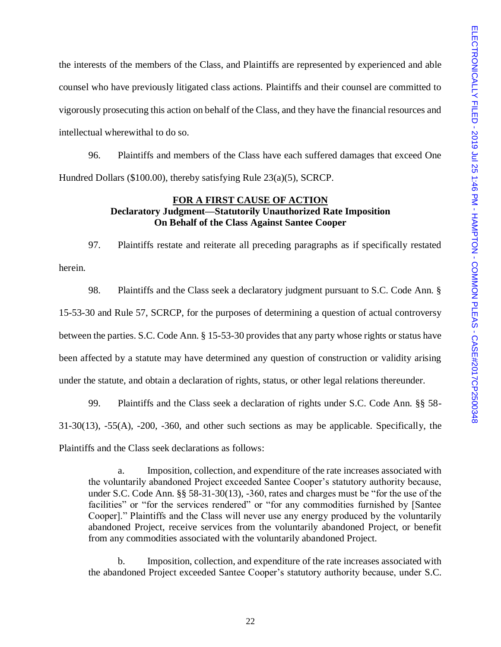the interests of the members of the Class, and Plaintiffs are represented by experienced and able counsel who have previously litigated class actions. Plaintiffs and their counsel are committed to vigorously prosecuting this action on behalf of the Class, and they have the financial resources and intellectual wherewithal to do so.

96. Plaintiffs and members of the Class have each suffered damages that exceed One Hundred Dollars (\$100.00), thereby satisfying Rule 23(a)(5), SCRCP.

## **FOR A FIRST CAUSE OF ACTION Declaratory Judgment—Statutorily Unauthorized Rate Imposition On Behalf of the Class Against Santee Cooper**

97. Plaintiffs restate and reiterate all preceding paragraphs as if specifically restated herein.

98. Plaintiffs and the Class seek a declaratory judgment pursuant to S.C. Code Ann. § 15-53-30 and Rule 57, SCRCP, for the purposes of determining a question of actual controversy between the parties. S.C. Code Ann. § 15-53-30 provides that any party whose rights or status have been affected by a statute may have determined any question of construction or validity arising under the statute, and obtain a declaration of rights, status, or other legal relations thereunder.

99. Plaintiffs and the Class seek a declaration of rights under S.C. Code Ann. §§ 58- 31-30(13), -55(A), -200, -360, and other such sections as may be applicable. Specifically, the Plaintiffs and the Class seek declarations as follows:

a. Imposition, collection, and expenditure of the rate increases associated with the voluntarily abandoned Project exceeded Santee Cooper's statutory authority because, under S.C. Code Ann. §§ 58-31-30(13), -360, rates and charges must be "for the use of the facilities" or "for the services rendered" or "for any commodities furnished by [Santee Cooper]." Plaintiffs and the Class will never use any energy produced by the voluntarily abandoned Project, receive services from the voluntarily abandoned Project, or benefit from any commodities associated with the voluntarily abandoned Project.

b. Imposition, collection, and expenditure of the rate increases associated with the abandoned Project exceeded Santee Cooper's statutory authority because, under S.C.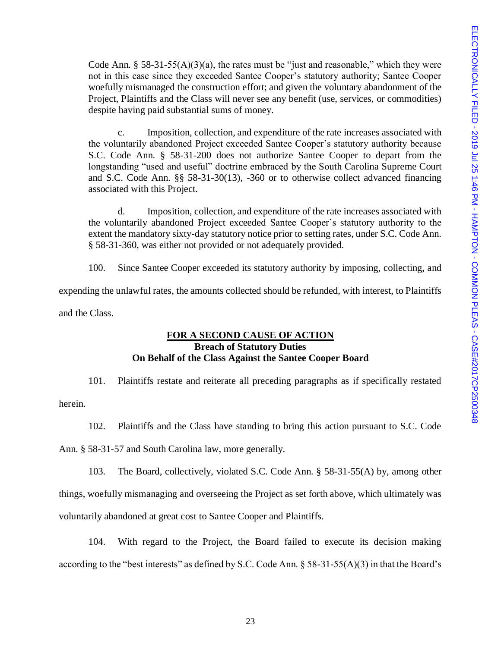Code Ann. § 58-31-55(A)(3)(a), the rates must be "just and reasonable," which they were not in this case since they exceeded Santee Cooper's statutory authority; Santee Cooper woefully mismanaged the construction effort; and given the voluntary abandonment of the Project, Plaintiffs and the Class will never see any benefit (use, services, or commodities) despite having paid substantial sums of money.

c. Imposition, collection, and expenditure of the rate increases associated with the voluntarily abandoned Project exceeded Santee Cooper's statutory authority because S.C. Code Ann. § 58-31-200 does not authorize Santee Cooper to depart from the longstanding "used and useful" doctrine embraced by the South Carolina Supreme Court and S.C. Code Ann. §§ 58-31-30(13), -360 or to otherwise collect advanced financing associated with this Project.

d. Imposition, collection, and expenditure of the rate increases associated with the voluntarily abandoned Project exceeded Santee Cooper's statutory authority to the extent the mandatory sixty-day statutory notice prior to setting rates, under S.C. Code Ann. § 58-31-360, was either not provided or not adequately provided.

100. Since Santee Cooper exceeded its statutory authority by imposing, collecting, and

expending the unlawful rates, the amounts collected should be refunded, with interest, to Plaintiffs

and the Class.

# **FOR A SECOND CAUSE OF ACTION Breach of Statutory Duties On Behalf of the Class Against the Santee Cooper Board**

101. Plaintiffs restate and reiterate all preceding paragraphs as if specifically restated

herein.

102. Plaintiffs and the Class have standing to bring this action pursuant to S.C. Code

Ann. § 58-31-57 and South Carolina law, more generally.

103. The Board, collectively, violated S.C. Code Ann. § 58-31-55(A) by, among other

things, woefully mismanaging and overseeing the Project as set forth above, which ultimately was

voluntarily abandoned at great cost to Santee Cooper and Plaintiffs.

104. With regard to the Project, the Board failed to execute its decision making according to the "best interests" as defined by S.C. Code Ann. § 58-31-55(A)(3) in that the Board's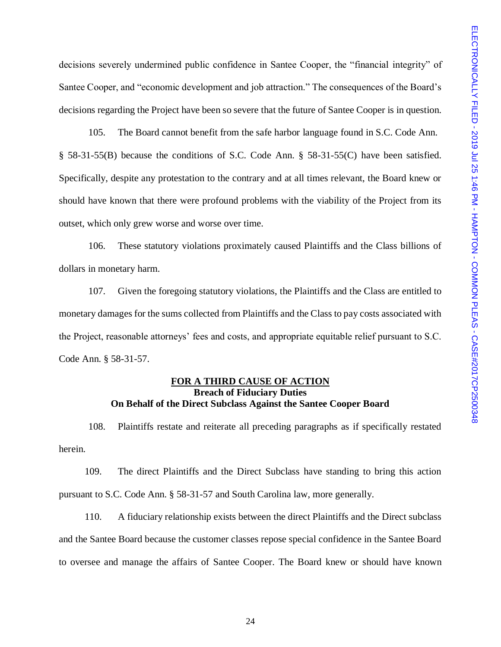decisions severely undermined public confidence in Santee Cooper, the "financial integrity" of Santee Cooper, and "economic development and job attraction." The consequences of the Board's decisions regarding the Project have been so severe that the future of Santee Cooper is in question.

105. The Board cannot benefit from the safe harbor language found in S.C. Code Ann. § 58-31-55(B) because the conditions of S.C. Code Ann. § 58-31-55(C) have been satisfied. Specifically, despite any protestation to the contrary and at all times relevant, the Board knew or should have known that there were profound problems with the viability of the Project from its outset, which only grew worse and worse over time.

106. These statutory violations proximately caused Plaintiffs and the Class billions of dollars in monetary harm.

107. Given the foregoing statutory violations, the Plaintiffs and the Class are entitled to monetary damages for the sums collected from Plaintiffs and the Class to pay costs associated with the Project, reasonable attorneys' fees and costs, and appropriate equitable relief pursuant to S.C. Code Ann. § 58-31-57.

### **FOR A THIRD CAUSE OF ACTION Breach of Fiduciary Duties On Behalf of the Direct Subclass Against the Santee Cooper Board**

108. Plaintiffs restate and reiterate all preceding paragraphs as if specifically restated herein.

109. The direct Plaintiffs and the Direct Subclass have standing to bring this action pursuant to S.C. Code Ann. § 58-31-57 and South Carolina law, more generally.

110. A fiduciary relationship exists between the direct Plaintiffs and the Direct subclass and the Santee Board because the customer classes repose special confidence in the Santee Board to oversee and manage the affairs of Santee Cooper. The Board knew or should have known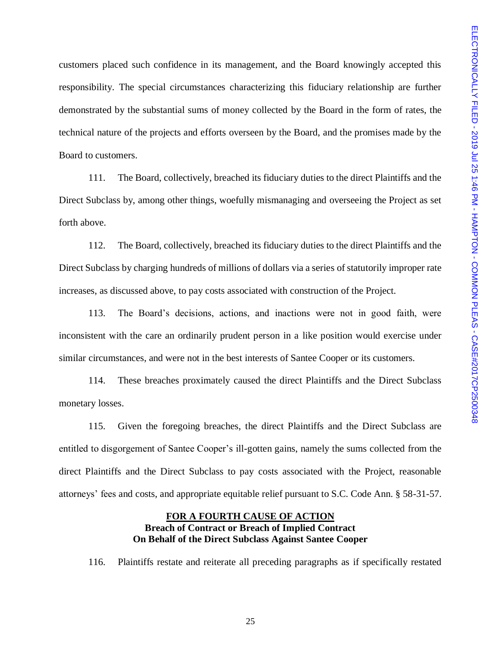customers placed such confidence in its management, and the Board knowingly accepted this responsibility. The special circumstances characterizing this fiduciary relationship are further demonstrated by the substantial sums of money collected by the Board in the form of rates, the technical nature of the projects and efforts overseen by the Board, and the promises made by the Board to customers.

111. The Board, collectively, breached its fiduciary duties to the direct Plaintiffs and the Direct Subclass by, among other things, woefully mismanaging and overseeing the Project as set forth above.

112. The Board, collectively, breached its fiduciary duties to the direct Plaintiffs and the Direct Subclass by charging hundreds of millions of dollars via a series of statutorily improper rate increases, as discussed above, to pay costs associated with construction of the Project.

113. The Board's decisions, actions, and inactions were not in good faith, were inconsistent with the care an ordinarily prudent person in a like position would exercise under similar circumstances, and were not in the best interests of Santee Cooper or its customers.

114. These breaches proximately caused the direct Plaintiffs and the Direct Subclass monetary losses.

115. Given the foregoing breaches, the direct Plaintiffs and the Direct Subclass are entitled to disgorgement of Santee Cooper's ill-gotten gains, namely the sums collected from the direct Plaintiffs and the Direct Subclass to pay costs associated with the Project, reasonable attorneys' fees and costs, and appropriate equitable relief pursuant to S.C. Code Ann. § 58-31-57.

# **FOR A FOURTH CAUSE OF ACTION Breach of Contract or Breach of Implied Contract On Behalf of the Direct Subclass Against Santee Cooper**

116. Plaintiffs restate and reiterate all preceding paragraphs as if specifically restated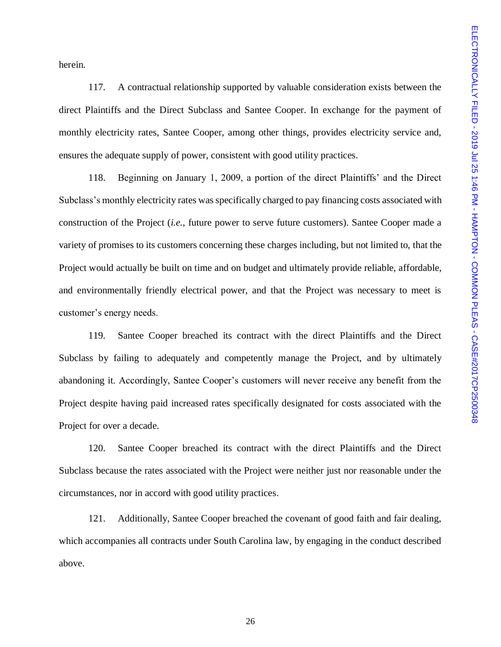herein.

117. A contractual relationship supported by valuable consideration exists between the direct Plaintiffs and the Direct Subclass and Santee Cooper. In exchange for the payment of monthly electricity rates, Santee Cooper, among other things, provides electricity service and, ensures the adequate supply of power, consistent with good utility practices.

118. Beginning on January 1, 2009, a portion of the direct Plaintiffs' and the Direct Subclass's monthly electricity rates was specifically charged to pay financing costs associated with construction of the Project (*i.e.*, future power to serve future customers). Santee Cooper made a variety of promises to its customers concerning these charges including, but not limited to, that the Project would actually be built on time and on budget and ultimately provide reliable, affordable, and environmentally friendly electrical power, and that the Project was necessary to meet is customer's energy needs.

119. Santee Cooper breached its contract with the direct Plaintiffs and the Direct Subclass by failing to adequately and competently manage the Project, and by ultimately abandoning it. Accordingly, Santee Cooper's customers will never receive any benefit from the Project despite having paid increased rates specifically designated for costs associated with the Project for over a decade.

120. Santee Cooper breached its contract with the direct Plaintiffs and the Direct Subclass because the rates associated with the Project were neither just nor reasonable under the circumstances, nor in accord with good utility practices.

121. Additionally, Santee Cooper breached the covenant of good faith and fair dealing, which accompanies all contracts under South Carolina law, by engaging in the conduct described above.

26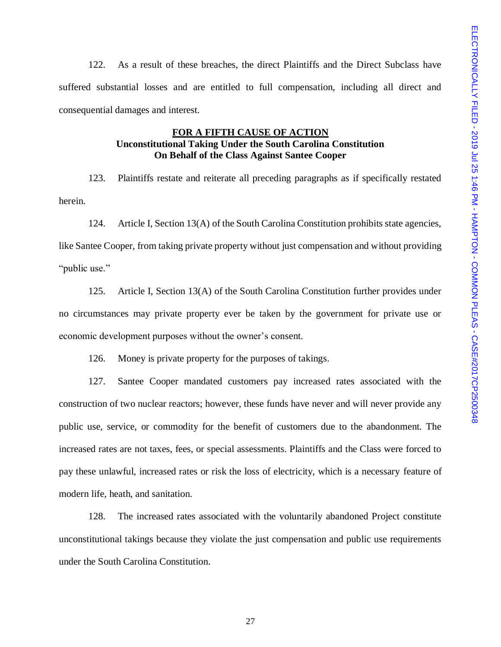122. As a result of these breaches, the direct Plaintiffs and the Direct Subclass have suffered substantial losses and are entitled to full compensation, including all direct and consequential damages and interest.

# **FOR A FIFTH CAUSE OF ACTION Unconstitutional Taking Under the South Carolina Constitution On Behalf of the Class Against Santee Cooper**

123. Plaintiffs restate and reiterate all preceding paragraphs as if specifically restated herein.

124. Article I, Section 13(A) of the South Carolina Constitution prohibits state agencies, like Santee Cooper, from taking private property without just compensation and without providing "public use."

125. Article I, Section 13(A) of the South Carolina Constitution further provides under no circumstances may private property ever be taken by the government for private use or economic development purposes without the owner's consent.

126. Money is private property for the purposes of takings.

127. Santee Cooper mandated customers pay increased rates associated with the construction of two nuclear reactors; however, these funds have never and will never provide any public use, service, or commodity for the benefit of customers due to the abandonment. The increased rates are not taxes, fees, or special assessments. Plaintiffs and the Class were forced to pay these unlawful, increased rates or risk the loss of electricity, which is a necessary feature of modern life, heath, and sanitation.

128. The increased rates associated with the voluntarily abandoned Project constitute unconstitutional takings because they violate the just compensation and public use requirements under the South Carolina Constitution.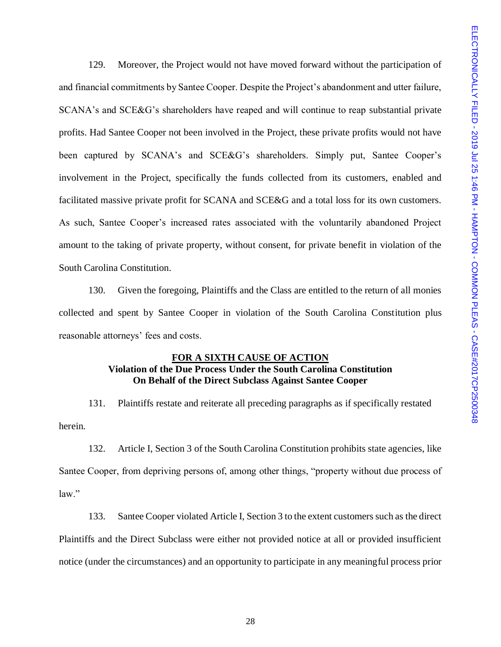129. Moreover, the Project would not have moved forward without the participation of and financial commitments by Santee Cooper. Despite the Project's abandonment and utter failure, SCANA's and SCE&G's shareholders have reaped and will continue to reap substantial private profits. Had Santee Cooper not been involved in the Project, these private profits would not have been captured by SCANA's and SCE&G's shareholders. Simply put, Santee Cooper's involvement in the Project, specifically the funds collected from its customers, enabled and facilitated massive private profit for SCANA and SCE&G and a total loss for its own customers. As such, Santee Cooper's increased rates associated with the voluntarily abandoned Project amount to the taking of private property, without consent, for private benefit in violation of the South Carolina Constitution.

130. Given the foregoing, Plaintiffs and the Class are entitled to the return of all monies collected and spent by Santee Cooper in violation of the South Carolina Constitution plus reasonable attorneys' fees and costs.

#### **FOR A SIXTH CAUSE OF ACTION Violation of the Due Process Under the South Carolina Constitution On Behalf of the Direct Subclass Against Santee Cooper**

131. Plaintiffs restate and reiterate all preceding paragraphs as if specifically restated herein.

132. Article I, Section 3 of the South Carolina Constitution prohibits state agencies, like Santee Cooper, from depriving persons of, among other things, "property without due process of  $law$ "

133. Santee Cooper violated Article I, Section 3 to the extent customers such as the direct Plaintiffs and the Direct Subclass were either not provided notice at all or provided insufficient notice (under the circumstances) and an opportunity to participate in any meaningful process prior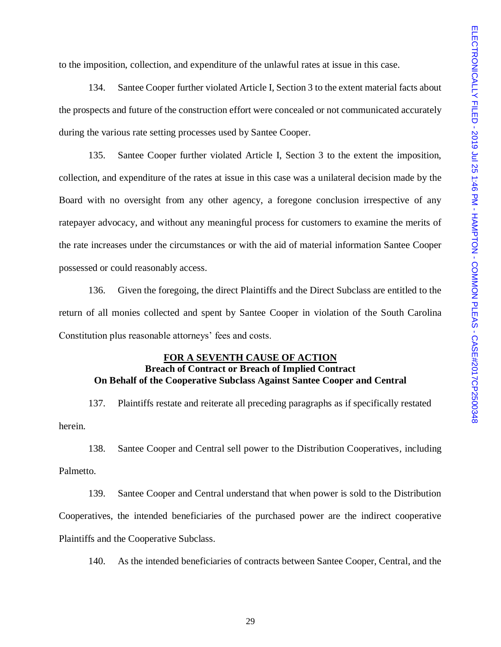to the imposition, collection, and expenditure of the unlawful rates at issue in this case.

134. Santee Cooper further violated Article I, Section 3 to the extent material facts about the prospects and future of the construction effort were concealed or not communicated accurately during the various rate setting processes used by Santee Cooper.

135. Santee Cooper further violated Article I, Section 3 to the extent the imposition, collection, and expenditure of the rates at issue in this case was a unilateral decision made by the Board with no oversight from any other agency, a foregone conclusion irrespective of any ratepayer advocacy, and without any meaningful process for customers to examine the merits of the rate increases under the circumstances or with the aid of material information Santee Cooper possessed or could reasonably access.

136. Given the foregoing, the direct Plaintiffs and the Direct Subclass are entitled to the return of all monies collected and spent by Santee Cooper in violation of the South Carolina Constitution plus reasonable attorneys' fees and costs.

#### **FOR A SEVENTH CAUSE OF ACTION**

# **Breach of Contract or Breach of Implied Contract On Behalf of the Cooperative Subclass Against Santee Cooper and Central**

137. Plaintiffs restate and reiterate all preceding paragraphs as if specifically restated herein.

138. Santee Cooper and Central sell power to the Distribution Cooperatives, including Palmetto.

139. Santee Cooper and Central understand that when power is sold to the Distribution Cooperatives, the intended beneficiaries of the purchased power are the indirect cooperative Plaintiffs and the Cooperative Subclass.

140. As the intended beneficiaries of contracts between Santee Cooper, Central, and the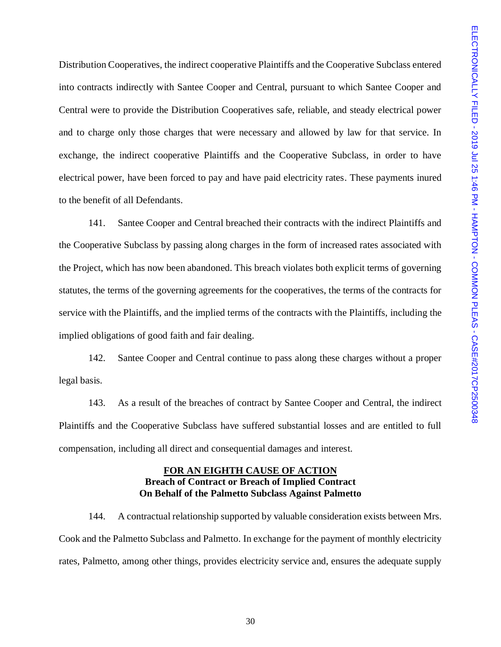Distribution Cooperatives, the indirect cooperative Plaintiffs and the Cooperative Subclass entered into contracts indirectly with Santee Cooper and Central, pursuant to which Santee Cooper and Central were to provide the Distribution Cooperatives safe, reliable, and steady electrical power and to charge only those charges that were necessary and allowed by law for that service. In exchange, the indirect cooperative Plaintiffs and the Cooperative Subclass, in order to have electrical power, have been forced to pay and have paid electricity rates. These payments inured to the benefit of all Defendants.

141. Santee Cooper and Central breached their contracts with the indirect Plaintiffs and the Cooperative Subclass by passing along charges in the form of increased rates associated with the Project, which has now been abandoned. This breach violates both explicit terms of governing statutes, the terms of the governing agreements for the cooperatives, the terms of the contracts for service with the Plaintiffs, and the implied terms of the contracts with the Plaintiffs, including the implied obligations of good faith and fair dealing.

142. Santee Cooper and Central continue to pass along these charges without a proper legal basis.

143. As a result of the breaches of contract by Santee Cooper and Central, the indirect Plaintiffs and the Cooperative Subclass have suffered substantial losses and are entitled to full compensation, including all direct and consequential damages and interest.

# **FOR AN EIGHTH CAUSE OF ACTION Breach of Contract or Breach of Implied Contract On Behalf of the Palmetto Subclass Against Palmetto**

144. A contractual relationship supported by valuable consideration exists between Mrs. Cook and the Palmetto Subclass and Palmetto. In exchange for the payment of monthly electricity rates, Palmetto, among other things, provides electricity service and, ensures the adequate supply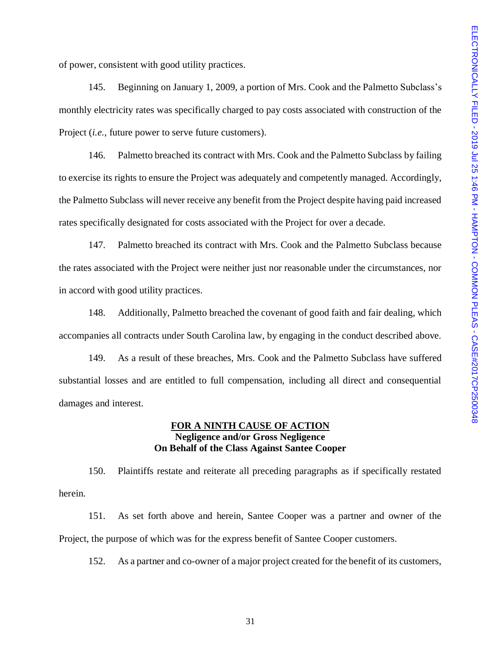of power, consistent with good utility practices.

145. Beginning on January 1, 2009, a portion of Mrs. Cook and the Palmetto Subclass's monthly electricity rates was specifically charged to pay costs associated with construction of the Project (*i.e.*, future power to serve future customers).

146. Palmetto breached its contract with Mrs. Cook and the Palmetto Subclass by failing to exercise its rights to ensure the Project was adequately and competently managed. Accordingly, the Palmetto Subclass will never receive any benefit from the Project despite having paid increased rates specifically designated for costs associated with the Project for over a decade.

147. Palmetto breached its contract with Mrs. Cook and the Palmetto Subclass because the rates associated with the Project were neither just nor reasonable under the circumstances, nor in accord with good utility practices.

148. Additionally, Palmetto breached the covenant of good faith and fair dealing, which accompanies all contracts under South Carolina law, by engaging in the conduct described above.

149. As a result of these breaches, Mrs. Cook and the Palmetto Subclass have suffered substantial losses and are entitled to full compensation, including all direct and consequential damages and interest.

#### **FOR A NINTH CAUSE OF ACTION Negligence and/or Gross Negligence On Behalf of the Class Against Santee Cooper**

150. Plaintiffs restate and reiterate all preceding paragraphs as if specifically restated herein.

151. As set forth above and herein, Santee Cooper was a partner and owner of the Project, the purpose of which was for the express benefit of Santee Cooper customers.

152. As a partner and co-owner of a major project created for the benefit of its customers,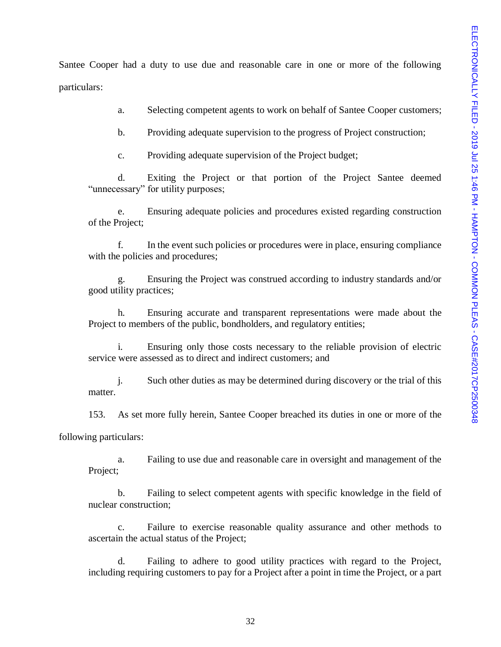Santee Cooper had a duty to use due and reasonable care in one or more of the following particulars:

a. Selecting competent agents to work on behalf of Santee Cooper customers;

b. Providing adequate supervision to the progress of Project construction;

c. Providing adequate supervision of the Project budget;

d. Exiting the Project or that portion of the Project Santee deemed "unnecessary" for utility purposes;

e. Ensuring adequate policies and procedures existed regarding construction of the Project;

f. In the event such policies or procedures were in place, ensuring compliance with the policies and procedures;

g. Ensuring the Project was construed according to industry standards and/or good utility practices;

h. Ensuring accurate and transparent representations were made about the Project to members of the public, bondholders, and regulatory entities;

i. Ensuring only those costs necessary to the reliable provision of electric service were assessed as to direct and indirect customers; and

j. Such other duties as may be determined during discovery or the trial of this matter.

153. As set more fully herein, Santee Cooper breached its duties in one or more of the

following particulars:

a. Failing to use due and reasonable care in oversight and management of the Project;

b. Failing to select competent agents with specific knowledge in the field of nuclear construction;

c. Failure to exercise reasonable quality assurance and other methods to ascertain the actual status of the Project;

d. Failing to adhere to good utility practices with regard to the Project, including requiring customers to pay for a Project after a point in time the Project, or a part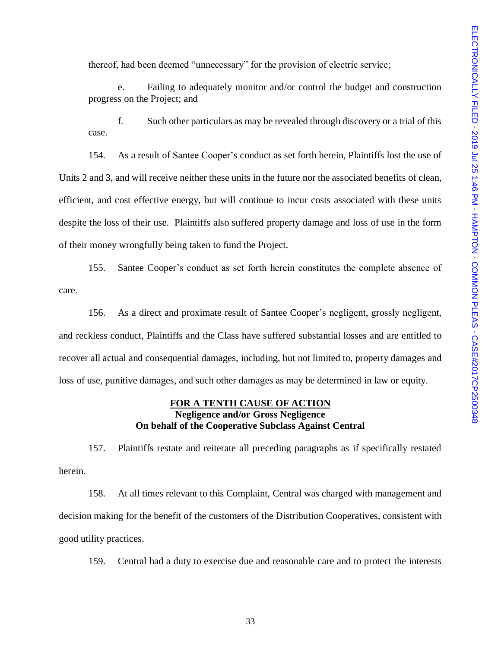thereof, had been deemed "unnecessary" for the provision of electric service;

e. Failing to adequately monitor and/or control the budget and construction progress on the Project; and

f. Such other particulars as may be revealed through discovery or a trial of this case.

154. As a result of Santee Cooper's conduct as set forth herein, Plaintiffs lost the use of Units 2 and 3, and will receive neither these units in the future nor the associated benefits of clean, efficient, and cost effective energy, but will continue to incur costs associated with these units despite the loss of their use. Plaintiffs also suffered property damage and loss of use in the form of their money wrongfully being taken to fund the Project.

155. Santee Cooper's conduct as set forth herein constitutes the complete absence of care.

156. As a direct and proximate result of Santee Cooper's negligent, grossly negligent, and reckless conduct, Plaintiffs and the Class have suffered substantial losses and are entitled to recover all actual and consequential damages, including, but not limited to, property damages and loss of use, punitive damages, and such other damages as may be determined in law or equity.

# **FOR A TENTH CAUSE OF ACTION Negligence and/or Gross Negligence On behalf of the Cooperative Subclass Against Central**

157. Plaintiffs restate and reiterate all preceding paragraphs as if specifically restated herein.

158. At all times relevant to this Complaint, Central was charged with management and decision making for the benefit of the customers of the Distribution Cooperatives, consistent with good utility practices.

159. Central had a duty to exercise due and reasonable care and to protect the interests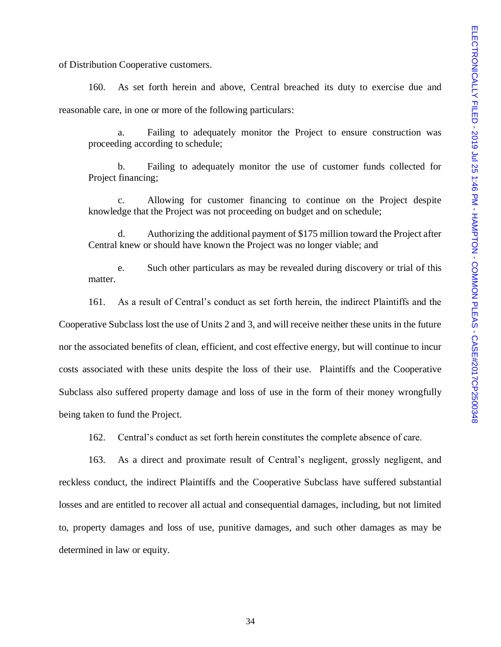of Distribution Cooperative customers.

160. As set forth herein and above, Central breached its duty to exercise due and reasonable care, in one or more of the following particulars:

a. Failing to adequately monitor the Project to ensure construction was proceeding according to schedule;

b. Failing to adequately monitor the use of customer funds collected for Project financing;

c. Allowing for customer financing to continue on the Project despite knowledge that the Project was not proceeding on budget and on schedule;

d. Authorizing the additional payment of \$175 million toward the Project after Central knew or should have known the Project was no longer viable; and

e. Such other particulars as may be revealed during discovery or trial of this matter.

161. As a result of Central's conduct as set forth herein, the indirect Plaintiffs and the Cooperative Subclass lost the use of Units 2 and 3, and will receive neither these units in the future nor the associated benefits of clean, efficient, and cost effective energy, but will continue to incur costs associated with these units despite the loss of their use. Plaintiffs and the Cooperative Subclass also suffered property damage and loss of use in the form of their money wrongfully being taken to fund the Project.

162. Central's conduct as set forth herein constitutes the complete absence of care.

163. As a direct and proximate result of Central's negligent, grossly negligent, and reckless conduct, the indirect Plaintiffs and the Cooperative Subclass have suffered substantial losses and are entitled to recover all actual and consequential damages, including, but not limited to, property damages and loss of use, punitive damages, and such other damages as may be determined in law or equity.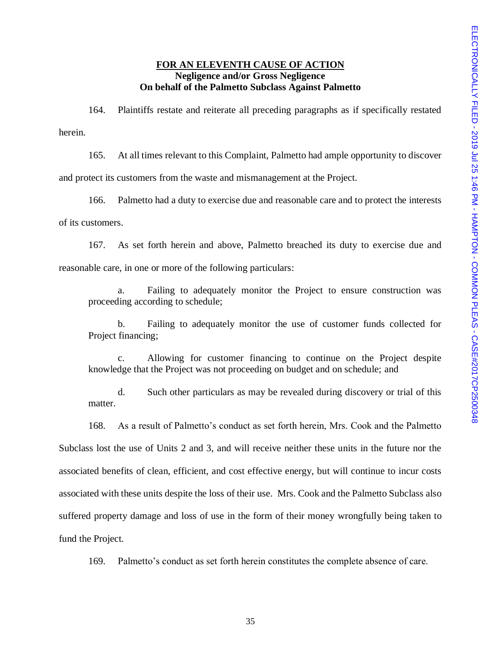## **FOR AN ELEVENTH CAUSE OF ACTION Negligence and/or Gross Negligence On behalf of the Palmetto Subclass Against Palmetto**

164. Plaintiffs restate and reiterate all preceding paragraphs as if specifically restated herein.

165. At all times relevant to this Complaint, Palmetto had ample opportunity to discover and protect its customers from the waste and mismanagement at the Project.

166. Palmetto had a duty to exercise due and reasonable care and to protect the interests of its customers.

167. As set forth herein and above, Palmetto breached its duty to exercise due and reasonable care, in one or more of the following particulars:

a. Failing to adequately monitor the Project to ensure construction was proceeding according to schedule;

b. Failing to adequately monitor the use of customer funds collected for Project financing;

c. Allowing for customer financing to continue on the Project despite knowledge that the Project was not proceeding on budget and on schedule; and

d. Such other particulars as may be revealed during discovery or trial of this matter.

168. As a result of Palmetto's conduct as set forth herein, Mrs. Cook and the Palmetto Subclass lost the use of Units 2 and 3, and will receive neither these units in the future nor the associated benefits of clean, efficient, and cost effective energy, but will continue to incur costs associated with these units despite the loss of their use. Mrs. Cook and the Palmetto Subclass also suffered property damage and loss of use in the form of their money wrongfully being taken to fund the Project.

169. Palmetto's conduct as set forth herein constitutes the complete absence of care.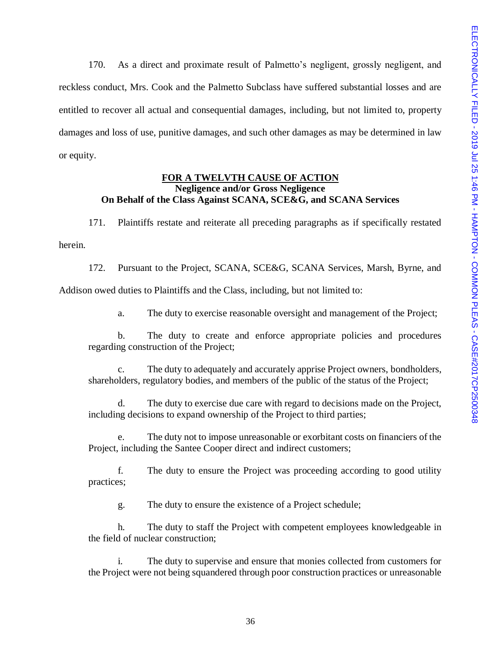170. As a direct and proximate result of Palmetto's negligent, grossly negligent, and reckless conduct, Mrs. Cook and the Palmetto Subclass have suffered substantial losses and are entitled to recover all actual and consequential damages, including, but not limited to, property damages and loss of use, punitive damages, and such other damages as may be determined in law or equity.

## **FOR A TWELVTH CAUSE OF ACTION Negligence and/or Gross Negligence On Behalf of the Class Against SCANA, SCE&G, and SCANA Services**

171. Plaintiffs restate and reiterate all preceding paragraphs as if specifically restated herein.

172. Pursuant to the Project, SCANA, SCE&G, SCANA Services, Marsh, Byrne, and Addison owed duties to Plaintiffs and the Class, including, but not limited to:

a. The duty to exercise reasonable oversight and management of the Project;

b. The duty to create and enforce appropriate policies and procedures regarding construction of the Project;

c. The duty to adequately and accurately apprise Project owners, bondholders, shareholders, regulatory bodies, and members of the public of the status of the Project;

d. The duty to exercise due care with regard to decisions made on the Project, including decisions to expand ownership of the Project to third parties;

e. The duty not to impose unreasonable or exorbitant costs on financiers of the Project, including the Santee Cooper direct and indirect customers;

f. The duty to ensure the Project was proceeding according to good utility practices;

g. The duty to ensure the existence of a Project schedule;

h. The duty to staff the Project with competent employees knowledgeable in the field of nuclear construction;

i. The duty to supervise and ensure that monies collected from customers for the Project were not being squandered through poor construction practices or unreasonable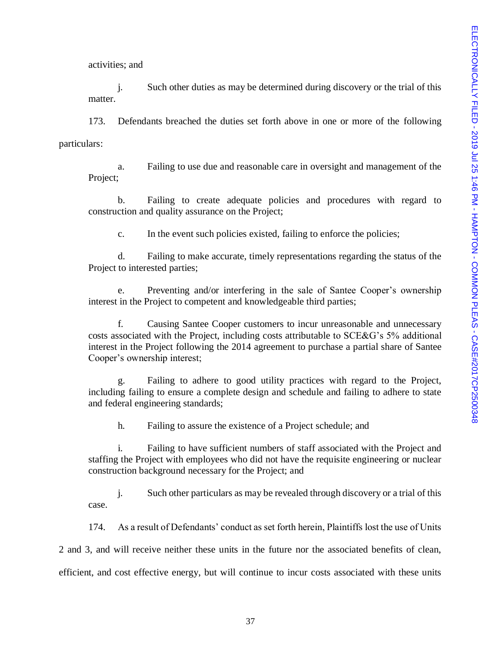activities; and

j. Such other duties as may be determined during discovery or the trial of this matter.

173. Defendants breached the duties set forth above in one or more of the following particulars:

a. Failing to use due and reasonable care in oversight and management of the Project;

b. Failing to create adequate policies and procedures with regard to construction and quality assurance on the Project;

c. In the event such policies existed, failing to enforce the policies;

d. Failing to make accurate, timely representations regarding the status of the Project to interested parties;

e. Preventing and/or interfering in the sale of Santee Cooper's ownership interest in the Project to competent and knowledgeable third parties;

f. Causing Santee Cooper customers to incur unreasonable and unnecessary costs associated with the Project, including costs attributable to SCE&G's 5% additional interest in the Project following the 2014 agreement to purchase a partial share of Santee Cooper's ownership interest;

g. Failing to adhere to good utility practices with regard to the Project, including failing to ensure a complete design and schedule and failing to adhere to state and federal engineering standards;

h. Failing to assure the existence of a Project schedule; and

i. Failing to have sufficient numbers of staff associated with the Project and staffing the Project with employees who did not have the requisite engineering or nuclear construction background necessary for the Project; and

j. Such other particulars as may be revealed through discovery or a trial of this case.

174. As a result of Defendants' conduct as set forth herein, Plaintiffs lost the use of Units 2 and 3, and will receive neither these units in the future nor the associated benefits of clean, efficient, and cost effective energy, but will continue to incur costs associated with these units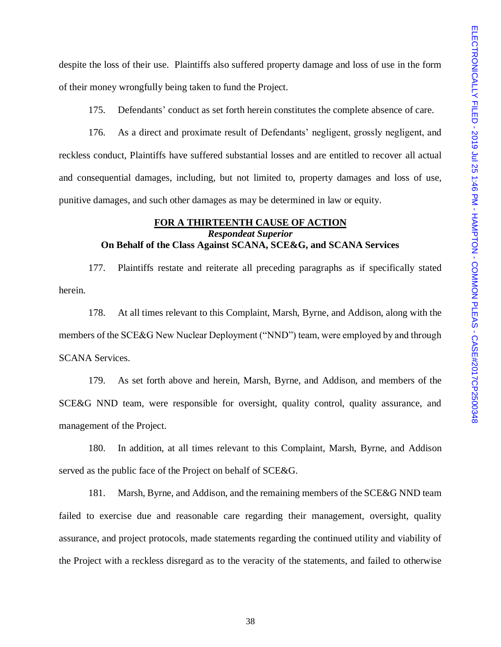despite the loss of their use. Plaintiffs also suffered property damage and loss of use in the form of their money wrongfully being taken to fund the Project.

175. Defendants' conduct as set forth herein constitutes the complete absence of care.

176. As a direct and proximate result of Defendants' negligent, grossly negligent, and reckless conduct, Plaintiffs have suffered substantial losses and are entitled to recover all actual and consequential damages, including, but not limited to, property damages and loss of use, punitive damages, and such other damages as may be determined in law or equity.

#### **FOR A THIRTEENTH CAUSE OF ACTION** *Respondeat Superior* **On Behalf of the Class Against SCANA, SCE&G, and SCANA Services**

177. Plaintiffs restate and reiterate all preceding paragraphs as if specifically stated herein.

178. At all times relevant to this Complaint, Marsh, Byrne, and Addison, along with the members of the SCE&G New Nuclear Deployment ("NND") team, were employed by and through SCANA Services.

179. As set forth above and herein, Marsh, Byrne, and Addison, and members of the SCE&G NND team, were responsible for oversight, quality control, quality assurance, and management of the Project.

180. In addition, at all times relevant to this Complaint, Marsh, Byrne, and Addison served as the public face of the Project on behalf of SCE&G.

181. Marsh, Byrne, and Addison, and the remaining members of the SCE&G NND team failed to exercise due and reasonable care regarding their management, oversight, quality assurance, and project protocols, made statements regarding the continued utility and viability of the Project with a reckless disregard as to the veracity of the statements, and failed to otherwise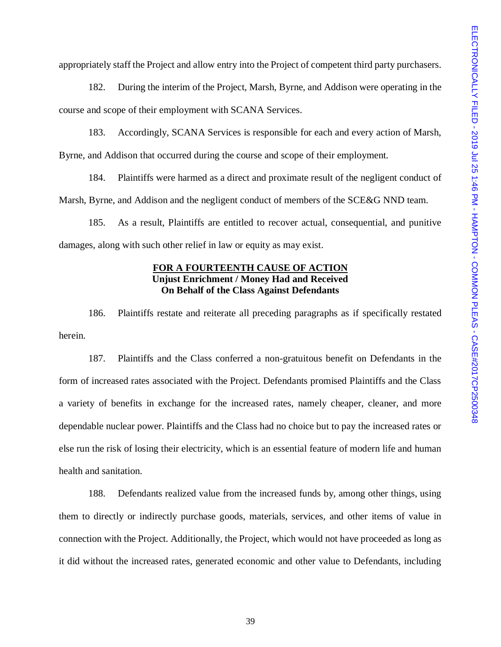appropriately staff the Project and allow entry into the Project of competent third party purchasers.

182. During the interim of the Project, Marsh, Byrne, and Addison were operating in the course and scope of their employment with SCANA Services.

183. Accordingly, SCANA Services is responsible for each and every action of Marsh, Byrne, and Addison that occurred during the course and scope of their employment.

184. Plaintiffs were harmed as a direct and proximate result of the negligent conduct of Marsh, Byrne, and Addison and the negligent conduct of members of the SCE&G NND team.

185. As a result, Plaintiffs are entitled to recover actual, consequential, and punitive damages, along with such other relief in law or equity as may exist.

### **FOR A FOURTEENTH CAUSE OF ACTION Unjust Enrichment / Money Had and Received On Behalf of the Class Against Defendants**

186. Plaintiffs restate and reiterate all preceding paragraphs as if specifically restated herein.

187. Plaintiffs and the Class conferred a non-gratuitous benefit on Defendants in the form of increased rates associated with the Project. Defendants promised Plaintiffs and the Class a variety of benefits in exchange for the increased rates, namely cheaper, cleaner, and more dependable nuclear power. Plaintiffs and the Class had no choice but to pay the increased rates or else run the risk of losing their electricity, which is an essential feature of modern life and human health and sanitation.

188. Defendants realized value from the increased funds by, among other things, using them to directly or indirectly purchase goods, materials, services, and other items of value in connection with the Project. Additionally, the Project, which would not have proceeded as long as it did without the increased rates, generated economic and other value to Defendants, including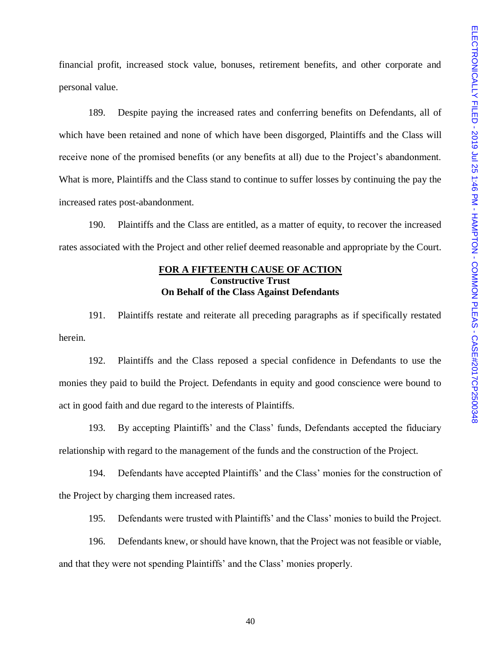financial profit, increased stock value, bonuses, retirement benefits, and other corporate and personal value.

189. Despite paying the increased rates and conferring benefits on Defendants, all of which have been retained and none of which have been disgorged, Plaintiffs and the Class will receive none of the promised benefits (or any benefits at all) due to the Project's abandonment. What is more, Plaintiffs and the Class stand to continue to suffer losses by continuing the pay the increased rates post-abandonment.

190. Plaintiffs and the Class are entitled, as a matter of equity, to recover the increased rates associated with the Project and other relief deemed reasonable and appropriate by the Court.

# **FOR A FIFTEENTH CAUSE OF ACTION Constructive Trust On Behalf of the Class Against Defendants**

191. Plaintiffs restate and reiterate all preceding paragraphs as if specifically restated herein.

192. Plaintiffs and the Class reposed a special confidence in Defendants to use the monies they paid to build the Project. Defendants in equity and good conscience were bound to act in good faith and due regard to the interests of Plaintiffs.

193. By accepting Plaintiffs' and the Class' funds, Defendants accepted the fiduciary relationship with regard to the management of the funds and the construction of the Project.

194. Defendants have accepted Plaintiffs' and the Class' monies for the construction of the Project by charging them increased rates.

195. Defendants were trusted with Plaintiffs' and the Class' monies to build the Project.

196. Defendants knew, or should have known, that the Project was not feasible or viable, and that they were not spending Plaintiffs' and the Class' monies properly.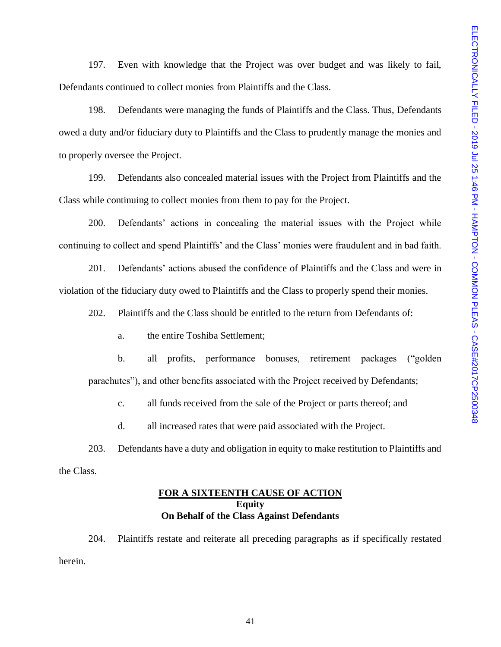197. Even with knowledge that the Project was over budget and was likely to fail, Defendants continued to collect monies from Plaintiffs and the Class.

198. Defendants were managing the funds of Plaintiffs and the Class. Thus, Defendants owed a duty and/or fiduciary duty to Plaintiffs and the Class to prudently manage the monies and to properly oversee the Project.

199. Defendants also concealed material issues with the Project from Plaintiffs and the Class while continuing to collect monies from them to pay for the Project.

200. Defendants' actions in concealing the material issues with the Project while continuing to collect and spend Plaintiffs' and the Class' monies were fraudulent and in bad faith.

201. Defendants' actions abused the confidence of Plaintiffs and the Class and were in violation of the fiduciary duty owed to Plaintiffs and the Class to properly spend their monies.

202. Plaintiffs and the Class should be entitled to the return from Defendants of:

a. the entire Toshiba Settlement;

b. all profits, performance bonuses, retirement packages ("golden parachutes"), and other benefits associated with the Project received by Defendants;

c. all funds received from the sale of the Project or parts thereof; and

d. all increased rates that were paid associated with the Project.

203. Defendants have a duty and obligation in equity to make restitution to Plaintiffs and the Class.

#### **FOR A SIXTEENTH CAUSE OF ACTION Equity On Behalf of the Class Against Defendants**

204. Plaintiffs restate and reiterate all preceding paragraphs as if specifically restated herein.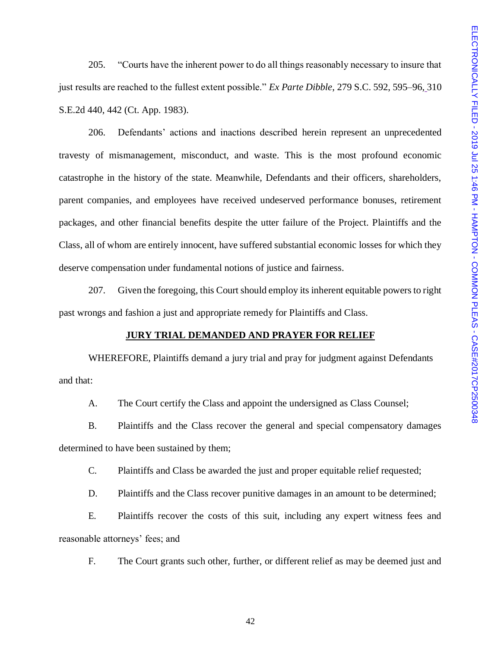205. "Courts have the inherent power to do all things reasonably necessary to insure that just results are reached to the fullest extent possible." *Ex Parte Dibble*, 279 S.C. 592, 595–96, 310 S.E.2d 440, 442 (Ct. App. 1983).

206. Defendants' actions and inactions described herein represent an unprecedented travesty of mismanagement, misconduct, and waste. This is the most profound economic catastrophe in the history of the state. Meanwhile, Defendants and their officers, shareholders, parent companies, and employees have received undeserved performance bonuses, retirement packages, and other financial benefits despite the utter failure of the Project. Plaintiffs and the Class, all of whom are entirely innocent, have suffered substantial economic losses for which they deserve compensation under fundamental notions of justice and fairness.

207. Given the foregoing, this Court should employ its inherent equitable powers to right past wrongs and fashion a just and appropriate remedy for Plaintiffs and Class.

#### **JURY TRIAL DEMANDED AND PRAYER FOR RELIEF**

WHEREFORE, Plaintiffs demand a jury trial and pray for judgment against Defendants and that:

A. The Court certify the Class and appoint the undersigned as Class Counsel;

B. Plaintiffs and the Class recover the general and special compensatory damages determined to have been sustained by them;

C. Plaintiffs and Class be awarded the just and proper equitable relief requested;

D. Plaintiffs and the Class recover punitive damages in an amount to be determined;

E. Plaintiffs recover the costs of this suit, including any expert witness fees and reasonable attorneys' fees; and

F. The Court grants such other, further, or different relief as may be deemed just and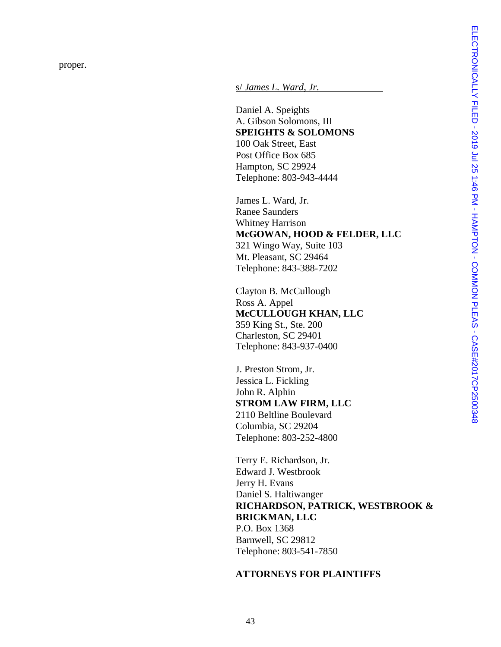s/ *James L. Ward, Jr.*

Daniel A. Speights A. Gibson Solomons, III **SPEIGHTS & SOLOMONS** 100 Oak Street, East Post Office Box 685 Hampton, SC 29924 Telephone: 803 -943 -4444

James L. Ward, Jr. Ranee Saunders Whitney Harrison **McGOWAN, HOOD & FELDER, LLC** 321 Wingo Way, Suite 103 Mt. Pleasant, SC 29464 Telephone: 843 -388 -7202

Clayton B. McCullough Ross A. Appel **McCULLOUGH KHAN, LLC** 359 King St., Ste. 200 Charleston, SC 29401 Telephone: 843 -937 -0400

J. Preston Strom, Jr. Jessica L. Fickling John R. Alphin **STROM LAW FIRM, LLC** 2110 Beltline Boulevard Columbia, SC 29204 Telephone: 803 -252 -4800

Terry E. Richardson, Jr. Edward J. Westbrook Jerry H. Evans Daniel S. Haltiwanger **RICHARDSON, PATRICK, WESTBROOK & BRICKMAN, LLC** P.O. Box 1368 Barnwell, SC 29812 Telephone: 803 -541 -7850

#### **ATTORNEYS FOR PLAINTIFFS**